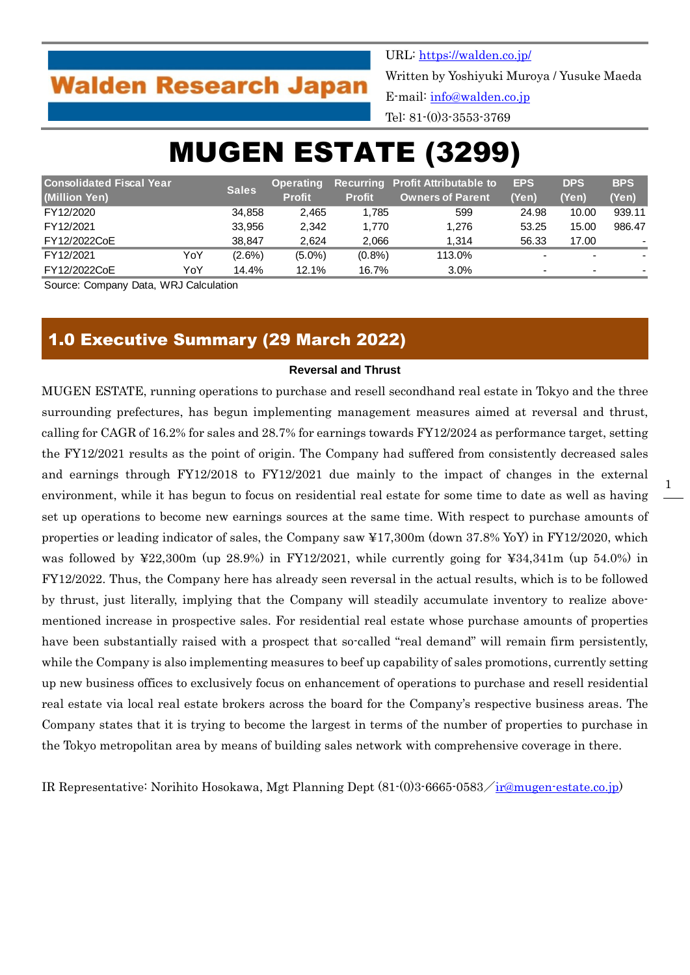## **Walden Research Japan**

URL:<https://walden.co.jp/> Written by Yoshiyuki Muroya / Yusuke Maeda E-mail: [info@walden.co.jp](mailto:info@walden.co.jp) Tel: 81-(0)3-3553-3769

# MUGEN ESTATE (3299)

| <b>Consolidated Fiscal Year</b> |     | <b>Sales</b> | <b>Operating</b> |               | <b>Recurring Profit Attributable to</b> | <b>EPS</b> | <b>DPS</b>               | <b>BPS</b>               |
|---------------------------------|-----|--------------|------------------|---------------|-----------------------------------------|------------|--------------------------|--------------------------|
| (Million Yen)                   |     |              | <b>Profit</b>    | <b>Profit</b> | Owners of Parent'                       | (Yen)      | (Yen)                    | (Yen)                    |
| FY12/2020                       |     | 34.858       | 2.465            | 1,785         | 599                                     | 24.98      | 10.00                    | 939.11                   |
| FY12/2021                       |     | 33.956       | 2.342            | 1.770         | 1.276                                   | 53.25      | 15.00                    | 986.47                   |
| FY12/2022CoE                    |     | 38.847       | 2.624            | 2,066         | 1.314                                   | 56.33      | 17.00                    | $\overline{\phantom{a}}$ |
| FY12/2021                       | YoY | $(2.6\%)$    | $(5.0\%)$        | $(0.8\%)$     | 113.0%                                  |            |                          |                          |
| FY12/2022CoE                    | YoY | 14.4%        | 12.1%            | 16.7%         | 3.0%                                    |            | $\overline{\phantom{0}}$ |                          |

Source: Company Data, WRJ Calculation

## 1.0 Executive Summary (29 March 2022)

#### **Reversal and Thrust**

MUGEN ESTATE, running operations to purchase and resell secondhand real estate in Tokyo and the three surrounding prefectures, has begun implementing management measures aimed at reversal and thrust, calling for CAGR of 16.2% for sales and 28.7% for earnings towards FY12/2024 as performance target, setting the FY12/2021 results as the point of origin. The Company had suffered from consistently decreased sales and earnings through FY12/2018 to FY12/2021 due mainly to the impact of changes in the external environment, while it has begun to focus on residential real estate for some time to date as well as having set up operations to become new earnings sources at the same time. With respect to purchase amounts of properties or leading indicator of sales, the Company saw ¥17,300m (down 37.8% YoY) in FY12/2020, which was followed by  $\text{\textless}22,300\text{m}$  (up 28.9%) in FY12/2021, while currently going for  $\text{\textless}34,341\text{m}$  (up 54.0%) in FY12/2022. Thus, the Company here has already seen reversal in the actual results, which is to be followed by thrust, just literally, implying that the Company will steadily accumulate inventory to realize abovementioned increase in prospective sales. For residential real estate whose purchase amounts of properties have been substantially raised with a prospect that so-called "real demand" will remain firm persistently, while the Company is also implementing measures to beef up capability of sales promotions, currently setting up new business offices to exclusively focus on enhancement of operations to purchase and resell residential real estate via local real estate brokers across the board for the Company's respective business areas. The Company states that it is trying to become the largest in terms of the number of properties to purchase in the Tokyo metropolitan area by means of building sales network with comprehensive coverage in there.

IR Representative: Norihito Hosokawa, Mgt Planning Dept (81-(0)3-6665-0583/[ir@mugen-estate.co.jp\)](mailto:ir@mugen-estate.co.jp)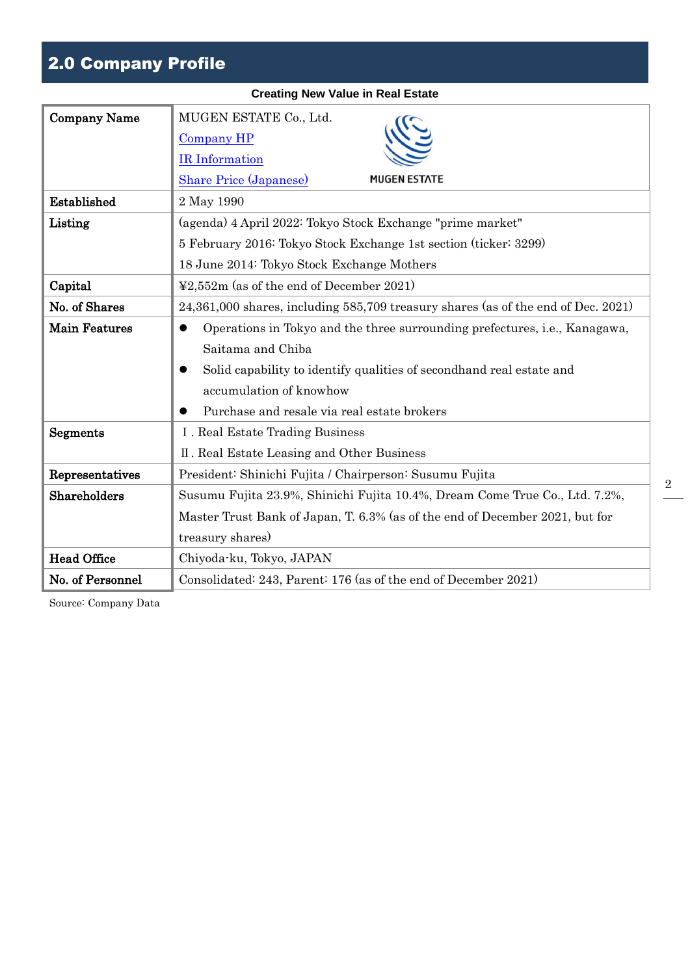## 2.0 Company Profile

| <b>Company Name</b>  | MUGEN ESTATE Co., Ltd.                                                                  |
|----------------------|-----------------------------------------------------------------------------------------|
|                      | <b>Company HP</b>                                                                       |
|                      | <b>IR</b> Information                                                                   |
|                      | <b>MUGEN ESTATE</b><br><b>Share Price (Japanese)</b>                                    |
| Established          | 2 May 1990                                                                              |
| Listing              | (agenda) 4 April 2022: Tokyo Stock Exchange "prime market"                              |
|                      | 5 February 2016: Tokyo Stock Exchange 1st section (ticker: 3299)                        |
|                      | 18 June 2014: Tokyo Stock Exchange Mothers                                              |
| Capital              | $\textcolor{blue}{22.552\text{m}}$ (as of the end of December 2021)                     |
| No. of Shares        | 24,361,000 shares, including 585,709 treasury shares (as of the end of Dec. 2021)       |
| <b>Main Features</b> | Operations in Tokyo and the three surrounding prefectures, i.e., Kanagawa,<br>$\bullet$ |
|                      | Saitama and Chiba                                                                       |
|                      | Solid capability to identify qualities of secondhand real estate and                    |
|                      | accumulation of knowhow                                                                 |
|                      | Purchase and resale via real estate brokers                                             |
| Segments             | I. Real Estate Trading Business                                                         |
|                      | II. Real Estate Leasing and Other Business                                              |
| Representatives      | President: Shinichi Fujita / Chairperson: Susumu Fujita                                 |
| Shareholders         | Susumu Fujita 23.9%, Shinichi Fujita 10.4%, Dream Come True Co., Ltd. 7.2%,             |
|                      | Master Trust Bank of Japan, T. 6.3% (as of the end of December 2021, but for            |
|                      | treasury shares)                                                                        |
| <b>Head Office</b>   | Chiyoda-ku, Tokyo, JAPAN                                                                |
| No. of Personnel     | Consolidated: 243, Parent: 176 (as of the end of December 2021)                         |

**Creating New Value in Real Estate**

Source: Company Data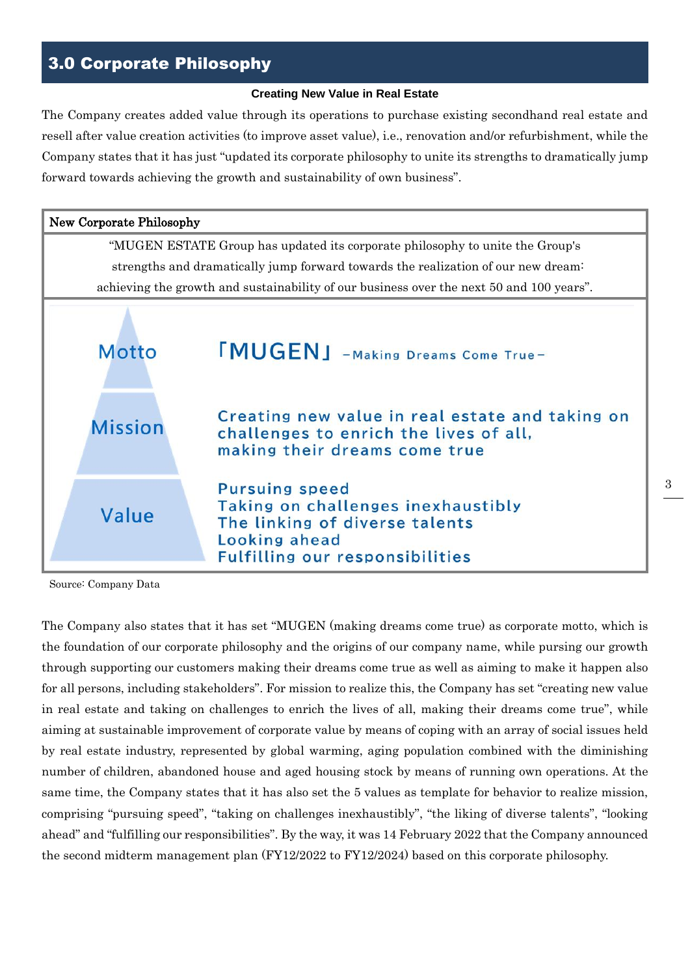## 3.0 Corporate Philosophy

#### **Creating New Value in Real Estate**

The Company creates added value through its operations to purchase existing secondhand real estate and resell after value creation activities (to improve asset value), i.e., renovation and/or refurbishment, while the Company states that it has just "updated its corporate philosophy to unite its strengths to dramatically jump forward towards achieving the growth and sustainability of own business".



Source: Company Data

The Company also states that it has set "MUGEN (making dreams come true) as corporate motto, which is the foundation of our corporate philosophy and the origins of our company name, while pursing our growth through supporting our customers making their dreams come true as well as aiming to make it happen also for all persons, including stakeholders". For mission to realize this, the Company has set "creating new value in real estate and taking on challenges to enrich the lives of all, making their dreams come true", while aiming at sustainable improvement of corporate value by means of coping with an array of social issues held by real estate industry, represented by global warming, aging population combined with the diminishing number of children, abandoned house and aged housing stock by means of running own operations. At the same time, the Company states that it has also set the 5 values as template for behavior to realize mission, comprising "pursuing speed", "taking on challenges inexhaustibly", "the liking of diverse talents", "looking ahead" and "fulfilling our responsibilities". By the way, it was 14 February 2022 that the Company announced the second midterm management plan (FY12/2022 to FY12/2024) based on this corporate philosophy.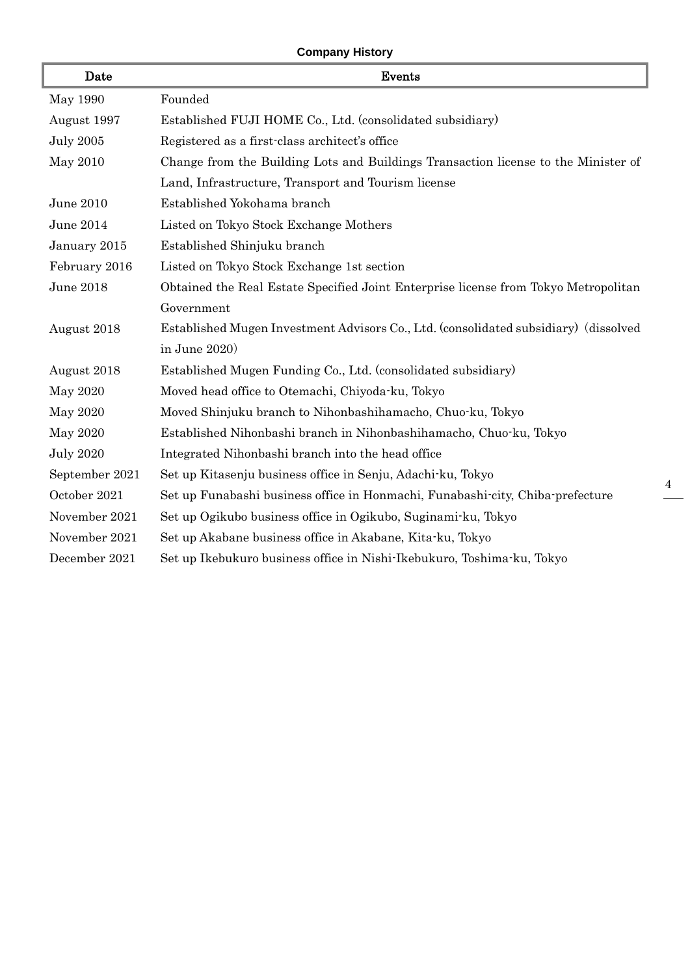### **Company History**

| Date             | Events                                                                               |
|------------------|--------------------------------------------------------------------------------------|
| May 1990         | Founded                                                                              |
| August 1997      | Established FUJI HOME Co., Ltd. (consolidated subsidiary)                            |
| <b>July 2005</b> | Registered as a first-class architect's office                                       |
| May 2010         | Change from the Building Lots and Buildings Transaction license to the Minister of   |
|                  | Land, Infrastructure, Transport and Tourism license                                  |
| June 2010        | Established Yokohama branch                                                          |
| June 2014        | Listed on Tokyo Stock Exchange Mothers                                               |
| January 2015     | Established Shinjuku branch                                                          |
| February 2016    | Listed on Tokyo Stock Exchange 1st section                                           |
| June 2018        | Obtained the Real Estate Specified Joint Enterprise license from Tokyo Metropolitan  |
|                  | Government                                                                           |
| August 2018      | Established Mugen Investment Advisors Co., Ltd. (consolidated subsidiary) (dissolved |
|                  | in June $2020$ )                                                                     |
| August 2018      | Established Mugen Funding Co., Ltd. (consolidated subsidiary)                        |
| May 2020         | Moved head office to Otemachi, Chiyoda ku, Tokyo                                     |
| May 2020         | Moved Shinjuku branch to Nihonbashihamacho, Chuo-ku, Tokyo                           |
| May 2020         | Established Nihonbashi branch in Nihonbashihamacho, Chuo-ku, Tokyo                   |
| <b>July 2020</b> | Integrated Nihonbashi branch into the head office                                    |
| September 2021   | Set up Kitasenju business office in Senju, Adachi-ku, Tokyo                          |
| October 2021     | Set up Funabashi business office in Honmachi, Funabashi city, Chiba prefecture       |
| November 2021    | Set up Ogikubo business office in Ogikubo, Suginami ku, Tokyo                        |
| November 2021    | Set up Akabane business office in Akabane, Kita-ku, Tokyo                            |
| December 2021    | Set up Ikebukuro business office in Nishi-Ikebukuro, Toshima-ku, Tokyo               |

4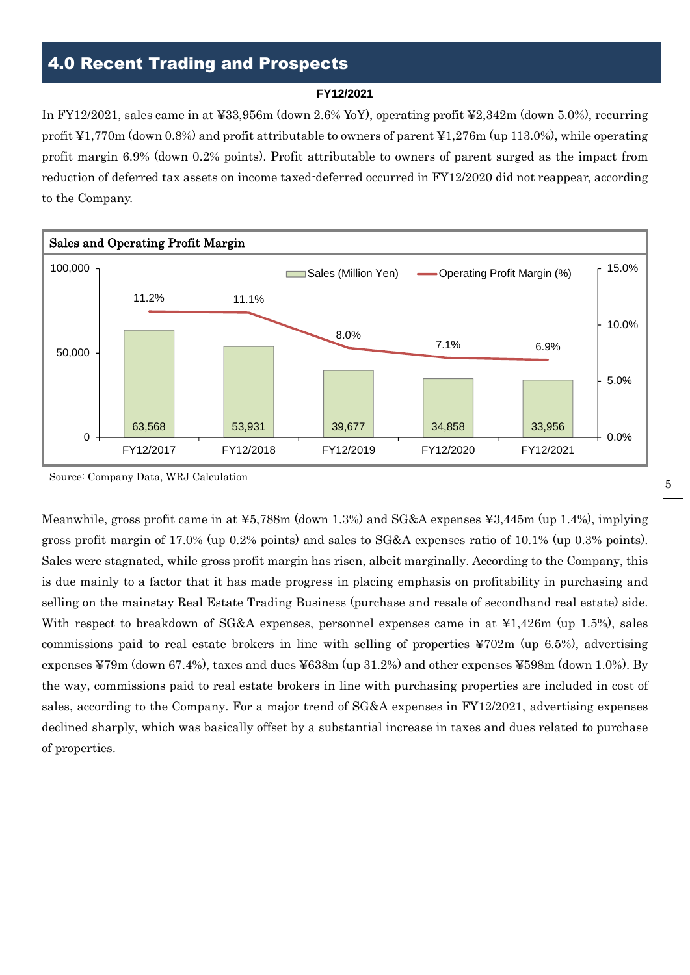## 4.0 Recent Trading and Prospects

#### **FY12/2021**

In FY12/2021, sales came in at ¥33,956m (down 2.6% YoY), operating profit ¥2,342m (down 5.0%), recurring profit ¥1,770m (down 0.8%) and profit attributable to owners of parent ¥1,276m (up 113.0%), while operating profit margin 6.9% (down 0.2% points). Profit attributable to owners of parent surged as the impact from reduction of deferred tax assets on income taxed-deferred occurred in FY12/2020 did not reappear, according to the Company.



Source: Company Data, WRJ Calculation

Meanwhile, gross profit came in at ¥5,788m (down 1.3%) and SG&A expenses ¥3,445m (up 1.4%), implying gross profit margin of 17.0% (up 0.2% points) and sales to SG&A expenses ratio of 10.1% (up 0.3% points). Sales were stagnated, while gross profit margin has risen, albeit marginally. According to the Company, this is due mainly to a factor that it has made progress in placing emphasis on profitability in purchasing and selling on the mainstay Real Estate Trading Business (purchase and resale of secondhand real estate) side. With respect to breakdown of SG&A expenses, personnel expenses came in at ¥1,426m (up 1.5%), sales commissions paid to real estate brokers in line with selling of properties ¥702m (up 6.5%), advertising expenses ¥79m (down 67.4%), taxes and dues ¥638m (up 31.2%) and other expenses ¥598m (down 1.0%). By the way, commissions paid to real estate brokers in line with purchasing properties are included in cost of sales, according to the Company. For a major trend of SG&A expenses in FY12/2021, advertising expenses declined sharply, which was basically offset by a substantial increase in taxes and dues related to purchase of properties.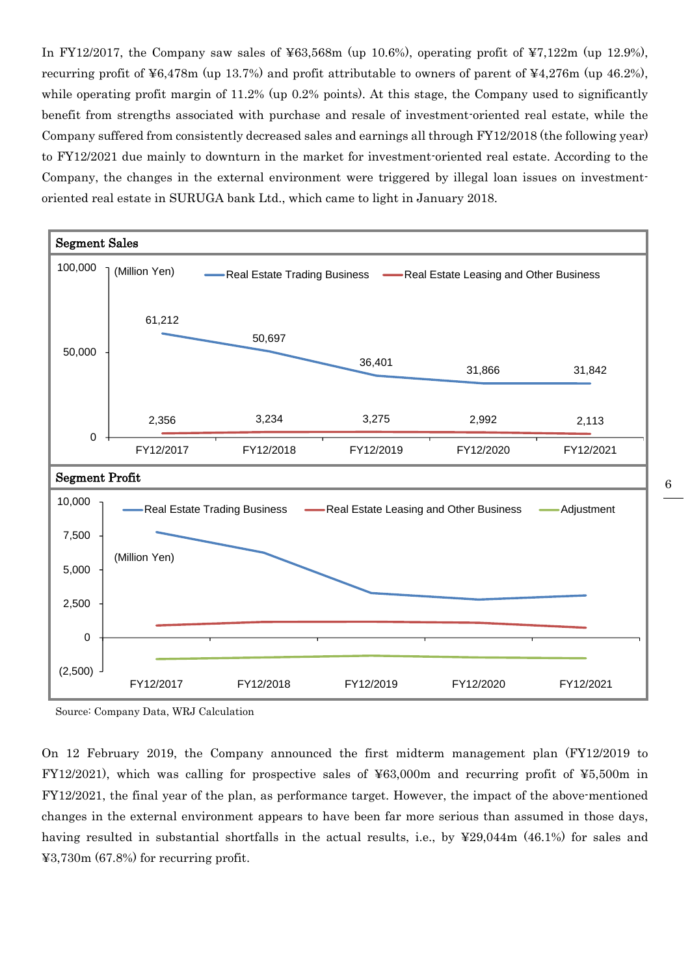In FY12/2017, the Company saw sales of  $463,568m$  (up 10.6%), operating profit of  $47,122m$  (up 12.9%), recurring profit of ¥6,478m (up 13.7%) and profit attributable to owners of parent of ¥4,276m (up 46.2%), while operating profit margin of 11.2% (up 0.2% points). At this stage, the Company used to significantly benefit from strengths associated with purchase and resale of investment-oriented real estate, while the Company suffered from consistently decreased sales and earnings all through FY12/2018 (the following year) to FY12/2021 due mainly to downturn in the market for investment-oriented real estate. According to the Company, the changes in the external environment were triggered by illegal loan issues on investmentoriented real estate in SURUGA bank Ltd., which came to light in January 2018.



Source: Company Data, WRJ Calculation

On 12 February 2019, the Company announced the first midterm management plan (FY12/2019 to FY12/2021), which was calling for prospective sales of ¥63,000m and recurring profit of ¥5,500m in FY12/2021, the final year of the plan, as performance target. However, the impact of the above-mentioned changes in the external environment appears to have been far more serious than assumed in those days, having resulted in substantial shortfalls in the actual results, i.e., by ¥29,044m (46.1%) for sales and ¥3,730m (67.8%) for recurring profit.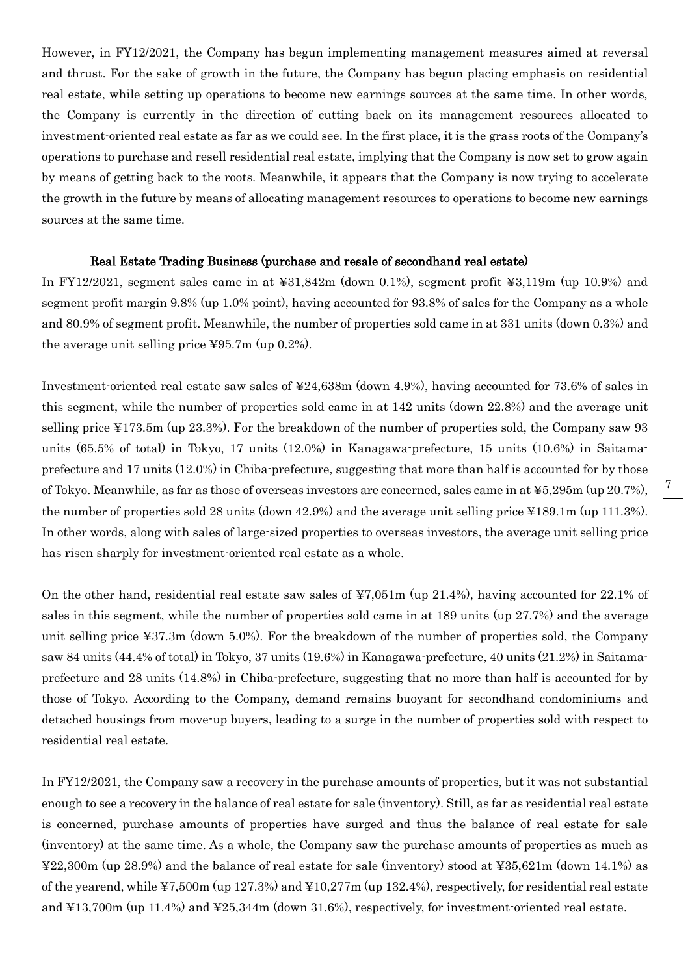However, in FY12/2021, the Company has begun implementing management measures aimed at reversal and thrust. For the sake of growth in the future, the Company has begun placing emphasis on residential real estate, while setting up operations to become new earnings sources at the same time. In other words, the Company is currently in the direction of cutting back on its management resources allocated to investment-oriented real estate as far as we could see. In the first place, it is the grass roots of the Company's operations to purchase and resell residential real estate, implying that the Company is now set to grow again by means of getting back to the roots. Meanwhile, it appears that the Company is now trying to accelerate the growth in the future by means of allocating management resources to operations to become new earnings sources at the same time.

#### Real Estate Trading Business (purchase and resale of secondhand real estate)

In FY12/2021, segment sales came in at ¥31,842m (down 0.1%), segment profit ¥3,119m (up 10.9%) and segment profit margin 9.8% (up 1.0% point), having accounted for 93.8% of sales for the Company as a whole and 80.9% of segment profit. Meanwhile, the number of properties sold came in at 331 units (down 0.3%) and the average unit selling price ¥95.7m (up 0.2%).

Investment-oriented real estate saw sales of ¥24,638m (down 4.9%), having accounted for 73.6% of sales in this segment, while the number of properties sold came in at 142 units (down 22.8%) and the average unit selling price ¥173.5m (up 23.3%). For the breakdown of the number of properties sold, the Company saw 93 units (65.5% of total) in Tokyo, 17 units (12.0%) in Kanagawa-prefecture, 15 units (10.6%) in Saitamaprefecture and 17 units (12.0%) in Chiba-prefecture, suggesting that more than half is accounted for by those of Tokyo. Meanwhile, as far as those of overseas investors are concerned, sales came in at ¥5,295m (up 20.7%), the number of properties sold 28 units (down 42.9%) and the average unit selling price ¥189.1m (up 111.3%). In other words, along with sales of large-sized properties to overseas investors, the average unit selling price has risen sharply for investment-oriented real estate as a whole.

On the other hand, residential real estate saw sales of ¥7,051m (up 21.4%), having accounted for 22.1% of sales in this segment, while the number of properties sold came in at 189 units (up 27.7%) and the average unit selling price ¥37.3m (down 5.0%). For the breakdown of the number of properties sold, the Company saw 84 units (44.4% of total) in Tokyo, 37 units (19.6%) in Kanagawa-prefecture, 40 units (21.2%) in Saitamaprefecture and 28 units (14.8%) in Chiba-prefecture, suggesting that no more than half is accounted for by those of Tokyo. According to the Company, demand remains buoyant for secondhand condominiums and detached housings from move-up buyers, leading to a surge in the number of properties sold with respect to residential real estate.

In FY12/2021, the Company saw a recovery in the purchase amounts of properties, but it was not substantial enough to see a recovery in the balance of real estate for sale (inventory). Still, as far as residential real estate is concerned, purchase amounts of properties have surged and thus the balance of real estate for sale (inventory) at the same time. As a whole, the Company saw the purchase amounts of properties as much as ¥22,300m (up 28.9%) and the balance of real estate for sale (inventory) stood at ¥35,621m (down 14.1%) as of the yearend, while ¥7,500m (up 127.3%) and ¥10,277m (up 132.4%), respectively, for residential real estate and ¥13,700m (up 11.4%) and ¥25,344m (down 31.6%), respectively, for investment-oriented real estate.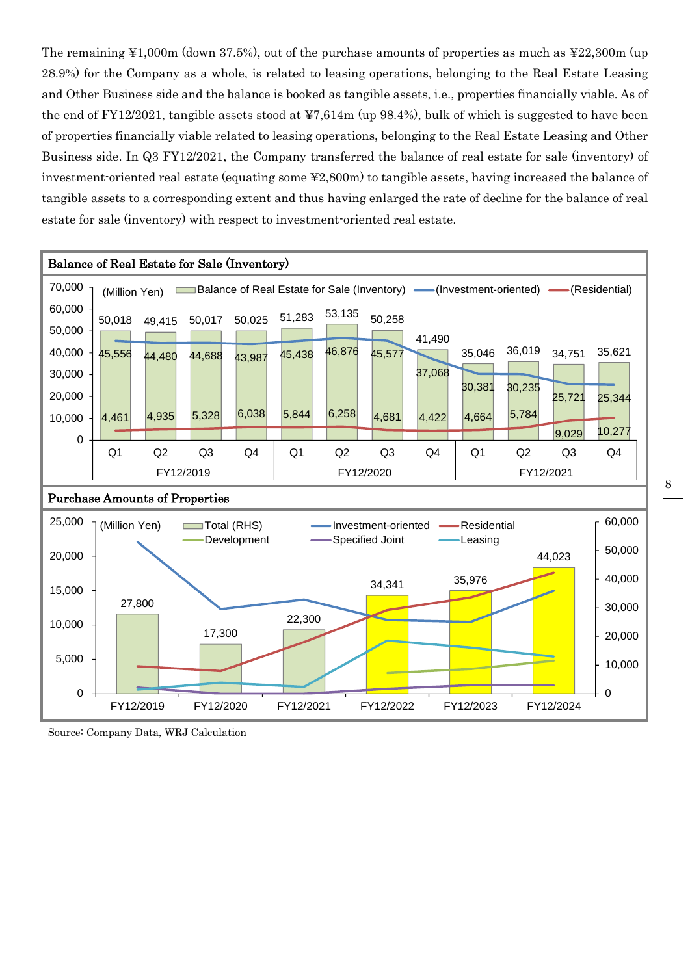The remaining ¥1,000m (down 37.5%), out of the purchase amounts of properties as much as ¥22,300m (up 28.9%) for the Company as a whole, is related to leasing operations, belonging to the Real Estate Leasing and Other Business side and the balance is booked as tangible assets, i.e., properties financially viable. As of the end of FY12/2021, tangible assets stood at ¥7,614m (up 98.4%), bulk of which is suggested to have been of properties financially viable related to leasing operations, belonging to the Real Estate Leasing and Other Business side. In Q3 FY12/2021, the Company transferred the balance of real estate for sale (inventory) of investment-oriented real estate (equating some ¥2,800m) to tangible assets, having increased the balance of tangible assets to a corresponding extent and thus having enlarged the rate of decline for the balance of real estate for sale (inventory) with respect to investment-oriented real estate.



Source: Company Data, WRJ Calculation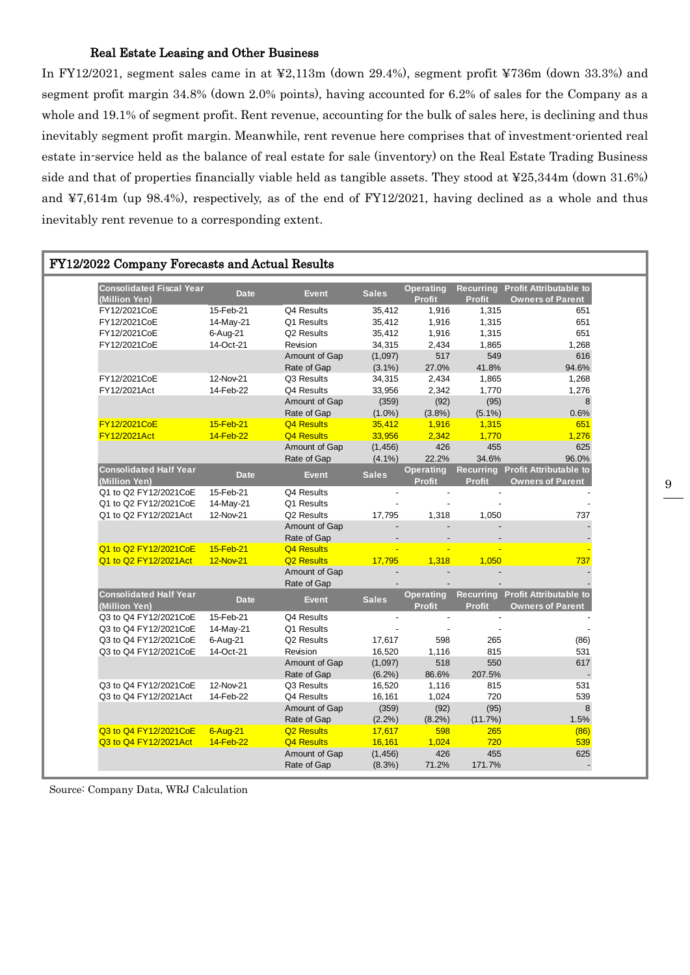#### Real Estate Leasing and Other Business

In FY12/2021, segment sales came in at ¥2,113m (down 29.4%), segment profit ¥736m (down 33.3%) and segment profit margin 34.8% (down 2.0% points), having accounted for 6.2% of sales for the Company as a whole and 19.1% of segment profit. Rent revenue, accounting for the bulk of sales here, is declining and thus inevitably segment profit margin. Meanwhile, rent revenue here comprises that of investment-oriented real estate in-service held as the balance of real estate for sale (inventory) on the Real Estate Trading Business side and that of properties financially viable held as tangible assets. They stood at ¥25,344m (down 31.6%) and ¥7,614m (up 98.4%), respectively, as of the end of FY12/2021, having declined as a whole and thus inevitably rent revenue to a corresponding extent.

| FY12/2022 Company Forecasts and Actual Results   |              |                        |              |                                   |               |                                                             |
|--------------------------------------------------|--------------|------------------------|--------------|-----------------------------------|---------------|-------------------------------------------------------------|
| <b>Consolidated Fiscal Year</b><br>(Million Yen) | <b>Date</b>  | <b>Event</b>           | <b>Sales</b> | <b>Operating</b><br><b>Profit</b> | <b>Profit</b> | Recurring Profit Attributable to<br><b>Owners of Parent</b> |
| FY12/2021CoE                                     | 15-Feb-21    | Q4 Results             | 35,412       | 1,916                             | 1,315         | 651                                                         |
| FY12/2021CoE                                     | 14-May-21    | Q1 Results             | 35,412       | 1,916                             | 1,315         | 651                                                         |
| FY12/2021CoE                                     | 6-Aug-21     | Q2 Results             | 35,412       | 1,916                             | 1,315         | 651                                                         |
| FY12/2021CoE                                     | 14-Oct-21    | Revision               | 34,315       | 2,434                             | 1,865         | 1,268                                                       |
|                                                  |              | Amount of Gap          | (1,097)      | 517                               | 549           | 616                                                         |
|                                                  |              | Rate of Gap            | $(3.1\%)$    | 27.0%                             | 41.8%         | 94.6%                                                       |
| FY12/2021CoE                                     | 12-Nov-21    | Q3 Results             | 34,315       | 2,434                             | 1,865         | 1,268                                                       |
| FY12/2021Act                                     | 14-Feb-22    | Q4 Results             | 33,956       | 2,342                             | 1,770         | 1,276                                                       |
|                                                  |              | Amount of Gap          | (359)        | (92)                              | (95)          | 8                                                           |
|                                                  |              | Rate of Gap            | $(1.0\%)$    | $(3.8\%)$                         | $(5.1\%)$     | 0.6%                                                        |
| FY12/2021CoE                                     | 15-Feb-21    | <b>Q4 Results</b>      | 35,412       | 1,916                             | 1,315         | 651                                                         |
| FY12/2021Act                                     | 14-Feb-22    | <b>Q4 Results</b>      | 33,956       | 2,342                             | 1.770         | 1,276                                                       |
|                                                  |              | Amount of Gap          | (1, 456)     | 426                               | 455           | 625                                                         |
|                                                  |              | Rate of Gap            | $(4.1\%)$    | 22.2%                             | 34.6%         | 96.0%                                                       |
| <b>Consolidated Half Year</b>                    |              |                        |              | <b>Operating</b>                  |               | Recurring Profit Attributable to                            |
| (Million Yen)                                    | <b>Date</b>  | <b>Event</b>           | <b>Sales</b> | <b>Profit</b>                     | <b>Profit</b> | <b>Owners of Parent</b>                                     |
| Q1 to Q2 FY12/2021CoE                            | 15-Feb-21    | Q4 Results             |              | $\overline{\phantom{a}}$          |               |                                                             |
| Q1 to Q2 FY12/2021CoE                            | 14-May-21    | Q1 Results             |              |                                   |               |                                                             |
| Q1 to Q2 FY12/2021Act                            | 12-Nov-21    | Q2 Results             | 17,795       | 1,318                             | 1,050         | 737                                                         |
|                                                  |              | Amount of Gap          |              |                                   |               |                                                             |
|                                                  |              | Rate of Gap            |              |                                   |               |                                                             |
| Q1 to Q2 FY12/2021CoE                            | 15-Feb-21    | <b>Q4 Results</b>      |              |                                   |               |                                                             |
| Q1 to Q2 FY12/2021Act                            | 12-Nov-21    | Q <sub>2</sub> Results | 17,795       | 1,318                             | 1,050         | 737                                                         |
|                                                  |              | Amount of Gap          |              |                                   |               |                                                             |
|                                                  |              | Rate of Gap            |              |                                   |               |                                                             |
| <b>Consolidated Half Year</b><br>(Million Yen)   | <b>Date</b>  | <b>Event</b>           | <b>Sales</b> | <b>Operating</b><br><b>Profit</b> | <b>Profit</b> | Recurring Profit Attributable to<br><b>Owners of Parent</b> |
| Q3 to Q4 FY12/2021CoE                            | 15-Feb-21    | Q4 Results             |              | $\ddot{\phantom{a}}$              |               |                                                             |
| Q3 to Q4 FY12/2021CoE                            | 14-May-21    | Q1 Results             |              |                                   |               |                                                             |
| Q3 to Q4 FY12/2021CoE                            | 6-Aug-21     | Q2 Results             | 17,617       | 598                               | 265           | (86)                                                        |
| Q3 to Q4 FY12/2021CoE                            | 14-Oct-21    | Revision               | 16,520       | 1,116                             | 815           | 531                                                         |
|                                                  |              | Amount of Gap          | (1,097)      | 518                               | 550           | 617                                                         |
|                                                  |              | Rate of Gap            | $(6.2\%)$    | 86.6%                             | 207.5%        |                                                             |
| Q3 to Q4 FY12/2021CoE                            | 12-Nov-21    | Q3 Results             | 16,520       | 1,116                             | 815           | 531                                                         |
| Q3 to Q4 FY12/2021Act                            | 14-Feb-22    | Q4 Results             | 16,161       | 1,024                             | 720           | 539                                                         |
|                                                  |              | Amount of Gap          | (359)        | (92)                              | (95)          | 8                                                           |
|                                                  |              | Rate of Gap            | $(2.2\%)$    | $(8.2\%)$                         | (11.7%)       | 1.5%                                                        |
| Q3 to Q4 FY12/2021CoE                            | $6 - Aug-21$ | <b>Q2 Results</b>      | 17,617       | 598                               | 265           | (86)                                                        |
| Q3 to Q4 FY12/2021Act                            | $14-Feb-22$  | Q4 Results             | 16,161       | 1,024                             | 720           | 539                                                         |
|                                                  |              | Amount of Gap          | (1, 456)     | 426                               | 455           | 625                                                         |
|                                                  |              |                        |              |                                   | 171.7%        |                                                             |
|                                                  |              | Rate of Gap            | $(8.3\%)$    | 71.2%                             |               |                                                             |

Source: Company Data, WRJ Calculation

9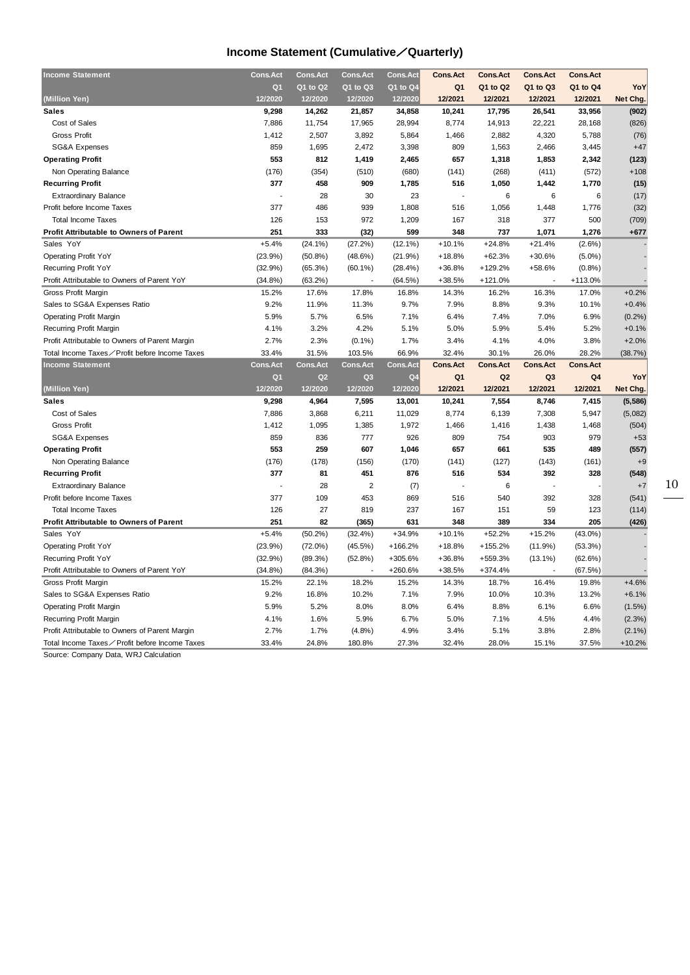### **Income Statement (Cumulative**/**Quarterly)**

| <b>Income Statement</b>                        | Cons.Act        | <b>Cons.Act</b> | <b>Cons.Act</b> | <b>Cons.Act</b> | <b>Cons.Act</b> | <b>Cons.Act</b> | <b>Cons.Act</b> | <b>Cons.Act</b> |           |
|------------------------------------------------|-----------------|-----------------|-----------------|-----------------|-----------------|-----------------|-----------------|-----------------|-----------|
|                                                | Q <sub>1</sub>  | Q1 to Q2        | Q1 to Q3        | Q1 to Q4        | Q <sub>1</sub>  | Q1 to Q2        | Q1 to Q3        | Q1 to Q4        | YoY       |
| (Million Yen)                                  | 12/2020         | 12/2020         | 12/2020         | 12/2020         | 12/2021         | 12/2021         | 12/2021         | 12/2021         | Net Chg.  |
| <b>Sales</b>                                   | 9,298           | 14,262          | 21,857          | 34,858          | 10,241          | 17,795          | 26,541          | 33,956          | (902)     |
| Cost of Sales                                  | 7,886           | 11,754          | 17,965          | 28,994          | 8,774           | 14,913          | 22,221          | 28,168          | (826)     |
| <b>Gross Profit</b>                            | 1,412           | 2,507           | 3,892           | 5,864           | 1,466           | 2,882           | 4,320           | 5,788           | (76)      |
| SG&A Expenses                                  | 859             | 1,695           | 2,472           | 3,398           | 809             | 1,563           | 2,466           | 3,445           | $+47$     |
| <b>Operating Profit</b>                        | 553             | 812             | 1,419           | 2,465           | 657             | 1,318           | 1,853           | 2,342           | (123)     |
| Non Operating Balance                          | (176)           | (354)           | (510)           | (680)           | (141)           | (268)           | (411)           | (572)           | $+108$    |
| <b>Recurring Profit</b>                        | 377             | 458             | 909             | 1,785           | 516             | 1,050           | 1,442           | 1,770           | (15)      |
| <b>Extraordinary Balance</b>                   | ÷,              | 28              | 30              | 23              |                 | 6               | 6               | 6               | (17)      |
| Profit before Income Taxes                     | 377             | 486             | 939             | 1,808           | 516             | 1,056           | 1,448           | 1,776           | (32)      |
| <b>Total Income Taxes</b>                      | 126             | 153             | 972             | 1,209           | 167             | 318             | 377             | 500             | (709)     |
| <b>Profit Attributable to Owners of Parent</b> | 251             | 333             | (32)            | 599             | 348             | 737             | 1,071           | 1,276           | $+677$    |
| Sales YoY                                      | $+5.4%$         | $(24.1\%)$      | (27.2%)         | $(12.1\%)$      | $+10.1%$        | $+24.8%$        | $+21.4%$        | $(2.6\%)$       |           |
| <b>Operating Profit YoY</b>                    | (23.9%)         | $(50.8\%)$      | $(48.6\%)$      | (21.9%)         | $+18.8%$        | $+62.3%$        | $+30.6%$        | $(5.0\%)$       |           |
| Recurring Profit YoY                           | (32.9%)         | (65.3%)         | $(60.1\%)$      | $(28.4\%)$      | $+36.8%$        | $+129.2%$       | $+58.6%$        | (0.8%           |           |
| Profit Attributable to Owners of Parent YoY    | $(34.8\%)$      | $(63.2\%)$      |                 | (64.5%)         | $+38.5%$        | $+121.0%$       |                 | +113.0%         |           |
| Gross Profit Margin                            | 15.2%           | 17.6%           | 17.8%           | 16.8%           | 14.3%           | 16.2%           | 16.3%           | 17.0%           | $+0.2%$   |
| Sales to SG&A Expenses Ratio                   | 9.2%            | 11.9%           | 11.3%           | 9.7%            | 7.9%            | 8.8%            | 9.3%            | 10.1%           | $+0.4%$   |
| <b>Operating Profit Margin</b>                 | 5.9%            | 5.7%            | 6.5%            | 7.1%            | 6.4%            | 7.4%            | 7.0%            | 6.9%            | (0.2%)    |
| Recurring Profit Margin                        | 4.1%            | 3.2%            | 4.2%            | 5.1%            | 5.0%            | 5.9%            | 5.4%            | 5.2%            | $+0.1%$   |
| Profit Attributable to Owners of Parent Margin | 2.7%            | 2.3%            | $(0.1\%)$       | 1.7%            | 3.4%            | 4.1%            | 4.0%            | 3.8%            | $+2.0%$   |
| Total Income Taxes∕Profit before Income Taxes  | 33.4%           | 31.5%           | 103.5%          | 66.9%           | 32.4%           | 30.1%           | 26.0%           | 28.2%           | (38.7%)   |
|                                                |                 |                 |                 |                 |                 |                 |                 |                 |           |
| <b>Income Statement</b>                        | <b>Cons.Act</b> | <b>Cons.Act</b> | <b>Cons.Act</b> | <b>Cons.Act</b> | <b>Cons.Act</b> | <b>Cons.Act</b> | <b>Cons.Act</b> | <b>Cons.Act</b> |           |
|                                                | Q <sub>1</sub>  | Q2              | Q3              | Q <sub>4</sub>  | Q <sub>1</sub>  | Q <sub>2</sub>  | Q <sub>3</sub>  | Q4              | YoY       |
| (Million Yen)                                  | 12/2020         | 12/2020         | 12/2020         | 12/2020         | 12/2021         | 12/2021         | 12/2021         | 12/2021         | Net Chg.  |
| <b>Sales</b>                                   | 9,298           | 4,964           | 7,595           | 13,001          | 10,241          | 7,554           | 8,746           | 7,415           | (5, 586)  |
| Cost of Sales                                  | 7,886           | 3,868           | 6,211           | 11,029          | 8,774           | 6,139           | 7,308           | 5,947           | (5,082)   |
| <b>Gross Profit</b>                            | 1,412           | 1,095           | 1,385           | 1,972           | 1,466           | 1,416           | 1,438           | 1,468           | (504)     |
| <b>SG&amp;A Expenses</b>                       | 859             | 836             | 777             | 926             | 809             | 754             | 903             | 979             | $+53$     |
| <b>Operating Profit</b>                        | 553             | 259             | 607             | 1,046           | 657             | 661             | 535             | 489             | (557)     |
| Non Operating Balance                          | (176)           | (178)           | (156)           | (170)           | (141)           | (127)           | (143)           | (161)           | $+9$      |
| <b>Recurring Profit</b>                        | 377             | 81              | 451             | 876             | 516             | 534             | 392             | 328             | (548)     |
| <b>Extraordinary Balance</b>                   |                 | 28              | $\overline{c}$  | (7)             |                 | 6               |                 |                 | $+7$      |
| Profit before Income Taxes                     | 377             | 109             | 453             | 869             | 516             | 540             | 392             | 328             | (541)     |
| <b>Total Income Taxes</b>                      | 126             | 27              | 819             | 237             | 167             | 151             | 59              | 123             | (114)     |
| <b>Profit Attributable to Owners of Parent</b> | 251             | 82              | (365)           | 631             | 348             | 389             | 334             | 205             | (426)     |
| Sales YoY                                      | $+5.4%$         | $(50.2\%)$      | (32.4%)         | $+34.9%$        | $+10.1%$        | $+52.2%$        | $+15.2%$        | $(43.0\%)$      |           |
| <b>Operating Profit YoY</b>                    | (23.9%)         | $(72.0\%)$      | $(45.5\%)$      | $+166.2%$       | $+18.8%$        | $+155.2%$       | $(11.9\%)$      | (53.3%)         |           |
| Recurring Profit YoY                           | (32.9%)         | (89.3%)         | (52.8%)         | +305.6%         | $+36.8%$        | +559.3%         | $(13.1\%)$      | $(62.6\%)$      |           |
| Profit Attributable to Owners of Parent YoY    | $(34.8\%)$      | (84.3%)         | Ĭ.              | +260.6%         | $+38.5%$        | $+374.4%$       | J.              | (67.5%)         |           |
| Gross Profit Margin                            | 15.2%           | 22.1%           | 18.2%           | 15.2%           | 14.3%           | 18.7%           | 16.4%           | 19.8%           | $+4.6%$   |
| Sales to SG&A Expenses Ratio                   | 9.2%            | 16.8%           | 10.2%           | 7.1%            | 7.9%            | 10.0%           | 10.3%           | 13.2%           | $+6.1%$   |
| <b>Operating Profit Margin</b>                 | 5.9%            | 5.2%            | 8.0%            | 8.0%            | 6.4%            | 8.8%            | 6.1%            | 6.6%            | $(1.5\%)$ |
| Recurring Profit Margin                        | 4.1%            | 1.6%            | 5.9%            | 6.7%            | 5.0%            | 7.1%            | 4.5%            | 4.4%            | (2.3%)    |
| Profit Attributable to Owners of Parent Margin | 2.7%            | 1.7%            | (4.8%)          | 4.9%            | 3.4%            | 5.1%            | 3.8%            | 2.8%            | $(2.1\%)$ |

Source: Company Data, WRJ Calculation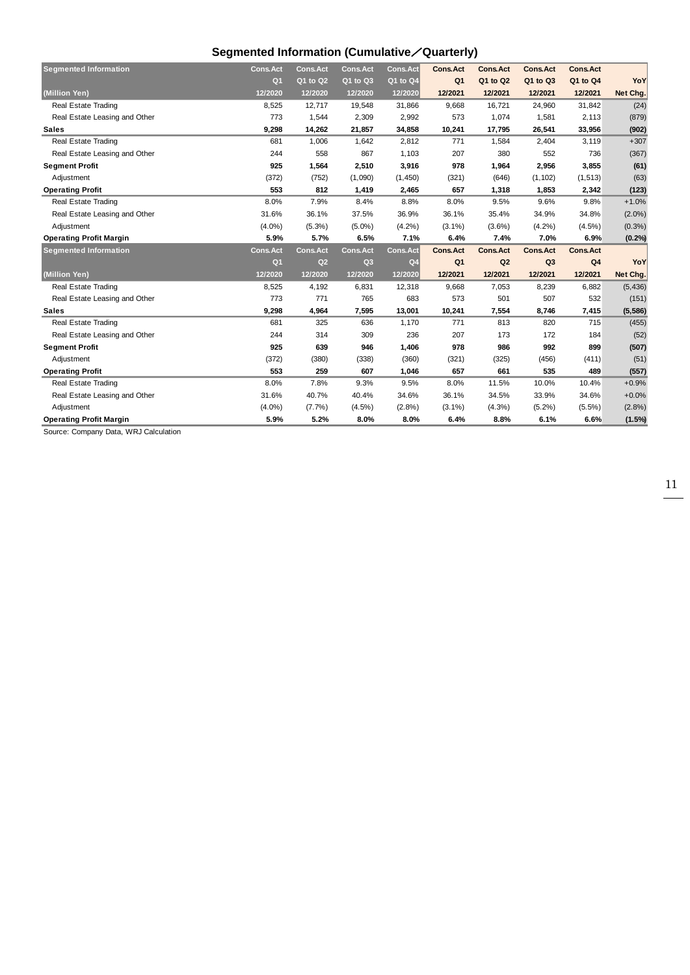## **Segmented Information (Cumulative**/**Quarterly)**

| <b>Segmented Information</b>   | <b>Cons.Act</b> | <b>Cons.Act</b> | <b>Cons.Act</b> | <b>Cons.Act</b> | <b>Cons.Act</b> | <b>Cons.Act</b> | <b>Cons.Act</b> | <b>Cons.Act</b> |           |
|--------------------------------|-----------------|-----------------|-----------------|-----------------|-----------------|-----------------|-----------------|-----------------|-----------|
|                                | Q <sub>1</sub>  | Q1 to Q2        | Q1 to Q3        | Q1 to Q4        | Q <sub>1</sub>  | Q1 to Q2        | Q1 to Q3        | Q1 to Q4        | YoY       |
| (Million Yen)                  | 12/2020         | 12/2020         | 12/2020         | 12/2020         | 12/2021         | 12/2021         | 12/2021         | 12/2021         | Net Chg.  |
| <b>Real Estate Trading</b>     | 8,525           | 12,717          | 19,548          | 31,866          | 9,668           | 16,721          | 24,960          | 31,842          | (24)      |
| Real Estate Leasing and Other  | 773             | 1,544           | 2,309           | 2,992           | 573             | 1,074           | 1,581           | 2,113           | (879)     |
| <b>Sales</b>                   | 9,298           | 14,262          | 21,857          | 34,858          | 10,241          | 17,795          | 26,541          | 33,956          | (902)     |
| Real Estate Trading            | 681             | 1,006           | 1,642           | 2,812           | 771             | 1,584           | 2,404           | 3,119           | $+307$    |
| Real Estate Leasing and Other  | 244             | 558             | 867             | 1,103           | 207             | 380             | 552             | 736             | (367)     |
| <b>Segment Profit</b>          | 925             | 1,564           | 2,510           | 3,916           | 978             | 1,964           | 2,956           | 3,855           | (61)      |
| Adjustment                     | (372)           | (752)           | (1,090)         | (1,450)         | (321)           | (646)           | (1, 102)        | (1, 513)        | (63)      |
| <b>Operating Profit</b>        | 553             | 812             | 1,419           | 2,465           | 657             | 1,318           | 1,853           | 2,342           | (123)     |
| <b>Real Estate Trading</b>     | 8.0%            | 7.9%            | 8.4%            | 8.8%            | 8.0%            | 9.5%            | 9.6%            | 9.8%            | $+1.0%$   |
| Real Estate Leasing and Other  | 31.6%           | 36.1%           | 37.5%           | 36.9%           | 36.1%           | 35.4%           | 34.9%           | 34.8%           | $(2.0\%)$ |
| Adjustment                     | $(4.0\%)$       | $(5.3\%)$       | $(5.0\%)$       | (4.2%)          | $(3.1\%)$       | $(3.6\%)$       | (4.2%)          | $(4.5\%)$       | (0.3% )   |
| <b>Operating Profit Margin</b> | 5.9%            | 5.7%            | 6.5%            | 7.1%            | 6.4%            | 7.4%            | 7.0%            | 6.9%            | (0.2%     |
| <b>Segmented Information</b>   | <b>Cons.Act</b> | <b>Cons.Act</b> | <b>Cons.Act</b> | <b>Cons.Act</b> | <b>Cons.Act</b> | <b>Cons.Act</b> | <b>Cons.Act</b> | <b>Cons.Act</b> |           |
|                                | Q <sub>1</sub>  | Q2              | Q <sub>3</sub>  | Q <sub>4</sub>  | Q <sub>1</sub>  | Q <sub>2</sub>  | Q <sub>3</sub>  | Q4              | YoY       |
| (Million Yen)                  | 12/2020         | 12/2020         | 12/2020         | 12/2020         | 12/2021         | 12/2021         | 12/2021         | 12/2021         | Net Chg.  |
| Real Estate Trading            | 8,525           | 4,192           | 6,831           | 12,318          | 9,668           | 7,053           | 8,239           | 6,882           | (5, 436)  |
| Real Estate Leasing and Other  | 773             | 771             | 765             | 683             | 573             | 501             | 507             | 532             | (151)     |
| <b>Sales</b>                   | 9,298           | 4,964           | 7,595           | 13,001          | 10,241          | 7,554           | 8,746           | 7,415           | (5, 586)  |
| Real Estate Trading            | 681             | 325             | 636             | 1,170           | 771             | 813             | 820             | 715             | (455)     |
| Real Estate Leasing and Other  | 244             | 314             | 309             | 236             | 207             | 173             | 172             | 184             | (52)      |
| <b>Segment Profit</b>          | 925             | 639             | 946             | 1,406           | 978             | 986             | 992             | 899             | (507)     |
| Adjustment                     | (372)           | (380)           | (338)           | (360)           | (321)           | (325)           | (456)           | (411)           | (51)      |
| <b>Operating Profit</b>        | 553             | 259             | 607             | 1,046           | 657             | 661             | 535             | 489             | (557)     |
| Real Estate Trading            | 8.0%            | 7.8%            | 9.3%            | 9.5%            | 8.0%            | 11.5%           | 10.0%           | 10.4%           | $+0.9%$   |
| Real Estate Leasing and Other  | 31.6%           | 40.7%           | 40.4%           | 34.6%           | 36.1%           | 34.5%           | 33.9%           | 34.6%           | $+0.0%$   |
| Adiustment                     | $(4.0\%)$       | (7.7%)          | $(4.5\%)$       | (2.8%)          | $(3.1\%)$       | $(4.3\%)$       | $(5.2\%)$       | $(5.5\%)$       | (2.8%)    |
| <b>Operating Profit Margin</b> | 5.9%            | 5.2%            | 8.0%            | 8.0%            | 6.4%            | 8.8%            | 6.1%            | 6.6%            | $(1.5\%)$ |

Source: Company Data, WRJ Calculation

11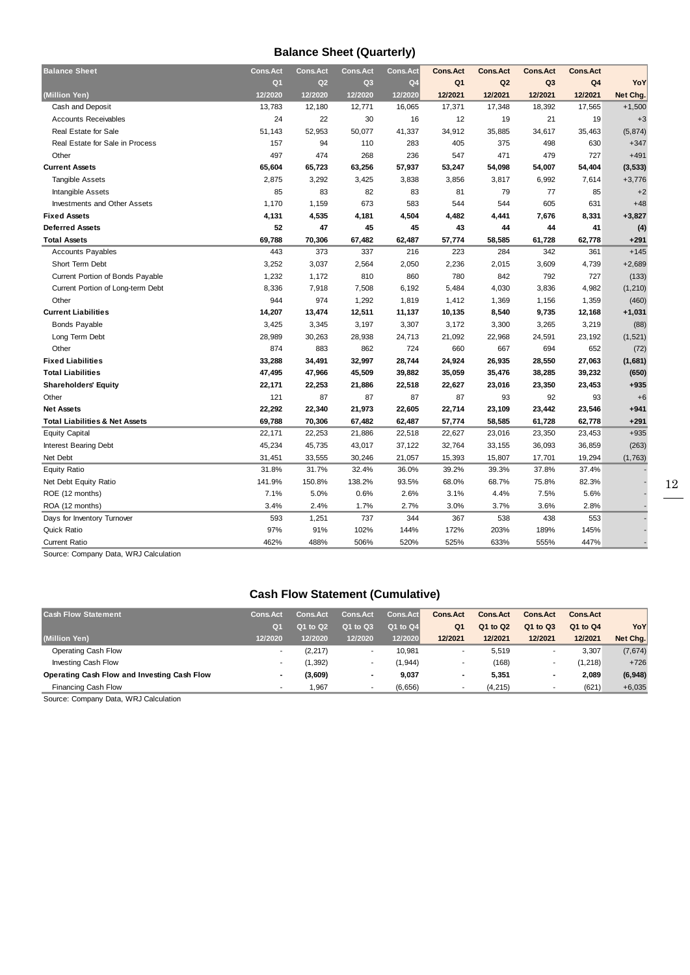### **Balance Sheet (Quarterly)**

| <b>Balance Sheet</b>                      | <b>Cons.Act</b> | <b>Cons.Act</b> | <b>Cons.Act</b> | <b>Cons.Act</b> | <b>Cons.Act</b> | <b>Cons.Act</b> | <b>Cons.Act</b> | <b>Cons.Act</b> |          |
|-------------------------------------------|-----------------|-----------------|-----------------|-----------------|-----------------|-----------------|-----------------|-----------------|----------|
|                                           | Q <sub>1</sub>  | Q2              | Q <sub>3</sub>  | Q <sub>4</sub>  | Q <sub>1</sub>  | Q <sub>2</sub>  | Q <sub>3</sub>  | Q4              | YoY      |
| (Million Yen)                             | 12/2020         | 12/2020         | 12/2020         | 12/2020         | 12/2021         | 12/2021         | 12/2021         | 12/2021         | Net Chg. |
| Cash and Deposit                          | 13.783          | 12.180          | 12,771          | 16,065          | 17,371          | 17,348          | 18,392          | 17.565          | $+1,500$ |
| <b>Accounts Receivables</b>               | 24              | 22              | 30              | 16              | 12              | 19              | 21              | 19              | $+3$     |
| <b>Real Estate for Sale</b>               | 51,143          | 52,953          | 50,077          | 41,337          | 34,912          | 35,885          | 34,617          | 35,463          | (5, 874) |
| Real Estate for Sale in Process           | 157             | 94              | 110             | 283             | 405             | 375             | 498             | 630             | $+347$   |
| Other                                     | 497             | 474             | 268             | 236             | 547             | 471             | 479             | 727             | $+491$   |
| <b>Current Assets</b>                     | 65,604          | 65,723          | 63,256          | 57,937          | 53,247          | 54,098          | 54,007          | 54,404          | (3, 533) |
| <b>Tangible Assets</b>                    | 2,875           | 3,292           | 3,425           | 3,838           | 3,856           | 3,817           | 6,992           | 7,614           | $+3,776$ |
| Intangible Assets                         | 85              | 83              | 82              | 83              | 81              | 79              | 77              | 85              | $+2$     |
| <b>Investments and Other Assets</b>       | 1,170           | 1,159           | 673             | 583             | 544             | 544             | 605             | 631             | $+48$    |
| <b>Fixed Assets</b>                       | 4,131           | 4,535           | 4,181           | 4,504           | 4,482           | 4,441           | 7,676           | 8,331           | $+3,827$ |
| <b>Deferred Assets</b>                    | 52              | 47              | 45              | 45              | 43              | 44              | 44              | 41              | (4)      |
| <b>Total Assets</b>                       | 69.788          | 70,306          | 67,482          | 62,487          | 57,774          | 58,585          | 61,728          | 62,778          | $+291$   |
| <b>Accounts Payables</b>                  | 443             | 373             | 337             | 216             | 223             | 284             | 342             | 361             | $+145$   |
| Short Term Debt                           | 3,252           | 3,037           | 2,564           | 2,050           | 2,236           | 2,015           | 3,609           | 4,739           | $+2,689$ |
| Current Portion of Bonds Payable          | 1,232           | 1,172           | 810             | 860             | 780             | 842             | 792             | 727             | (133)    |
| Current Portion of Long-term Debt         | 8,336           | 7,918           | 7,508           | 6,192           | 5,484           | 4,030           | 3,836           | 4,982           | (1, 210) |
| Other                                     | 944             | 974             | 1,292           | 1,819           | 1,412           | 1,369           | 1,156           | 1,359           | (460)    |
| <b>Current Liabilities</b>                | 14,207          | 13,474          | 12,511          | 11,137          | 10,135          | 8,540           | 9,735           | 12,168          | $+1,031$ |
| <b>Bonds Payable</b>                      | 3,425           | 3,345           | 3,197           | 3,307           | 3,172           | 3,300           | 3,265           | 3,219           | (88)     |
| Long Term Debt                            | 28,989          | 30,263          | 28,938          | 24,713          | 21,092          | 22,968          | 24,591          | 23,192          | (1, 521) |
| Other                                     | 874             | 883             | 862             | 724             | 660             | 667             | 694             | 652             | (72)     |
| <b>Fixed Liabilities</b>                  | 33,288          | 34,491          | 32,997          | 28,744          | 24,924          | 26,935          | 28,550          | 27,063          | (1,681)  |
| <b>Total Liabilities</b>                  | 47,495          | 47,966          | 45,509          | 39,882          | 35,059          | 35,476          | 38,285          | 39,232          | (650)    |
| <b>Shareholders' Equity</b>               | 22,171          | 22,253          | 21,886          | 22,518          | 22,627          | 23,016          | 23,350          | 23,453          | $+935$   |
| Other                                     | 121             | 87              | 87              | 87              | 87              | 93              | 92              | 93              | $+6$     |
| <b>Net Assets</b>                         | 22,292          | 22,340          | 21,973          | 22,605          | 22,714          | 23,109          | 23,442          | 23,546          | $+941$   |
| <b>Total Liabilities &amp; Net Assets</b> | 69,788          | 70,306          | 67,482          | 62,487          | 57,774          | 58,585          | 61,728          | 62,778          | $+291$   |
| <b>Equity Capital</b>                     | 22,171          | 22,253          | 21,886          | 22,518          | 22,627          | 23,016          | 23,350          | 23,453          | $+935$   |
| Interest Bearing Debt                     | 45,234          | 45,735          | 43,017          | 37,122          | 32,764          | 33,155          | 36,093          | 36,859          | (263)    |
| Net Debt                                  | 31,451          | 33,555          | 30,246          | 21,057          | 15,393          | 15,807          | 17,701          | 19,294          | (1,763)  |
| <b>Equity Ratio</b>                       | 31.8%           | 31.7%           | 32.4%           | 36.0%           | 39.2%           | 39.3%           | 37.8%           | 37.4%           |          |
| Net Debt Equity Ratio                     | 141.9%          | 150.8%          | 138.2%          | 93.5%           | 68.0%           | 68.7%           | 75.8%           | 82.3%           |          |
| ROE (12 months)                           | 7.1%            | 5.0%            | 0.6%            | 2.6%            | 3.1%            | 4.4%            | 7.5%            | 5.6%            |          |
| ROA (12 months)                           | 3.4%            | 2.4%            | 1.7%            | 2.7%            | 3.0%            | 3.7%            | 3.6%            | 2.8%            |          |
| Days for Inventory Turnover               | 593             | 1,251           | 737             | 344             | 367             | 538             | 438             | 553             |          |
| Quick Ratio                               | 97%             | 91%             | 102%            | 144%            | 172%            | 203%            | 189%            | 145%            |          |
| <b>Current Ratio</b>                      | 462%            | 488%            | 506%            | 520%            | 525%            | 633%            | 555%            | 447%            |          |
|                                           |                 |                 |                 |                 |                 |                 |                 |                 |          |

Source: Company Data, WRJ Calculation

## **Cash Flow Statement (Cumulative)**

| <b>Cash Flow Statement</b>                  | <b>Cons.Act</b> | <b>Cons.Act</b> | <b>Cons.Act</b> | Cons.Act     | Cons.Act       | <b>Cons.Act</b> | <b>Cons.Act</b> | <b>Cons.Act</b> |          |
|---------------------------------------------|-----------------|-----------------|-----------------|--------------|----------------|-----------------|-----------------|-----------------|----------|
|                                             | O <sub>1</sub>  | Q1 to Q2        | Q1 to Q3        | $Q1$ to $Q4$ | Q <sub>1</sub> | Q1 to Q2        | Q1 to Q3        | Q1 to Q4        | YoY      |
| (Million Yen)                               | 12/2020         | 12/2020         | 12/2020         | 12/2020      | 12/2021        | 12/2021         | 12/2021         | 12/2021         | Net Chg. |
| Operating Cash Flow                         | ۰               | (2, 217)        |                 | 10.981       |                | 5,519           |                 | 3.307           | (7,674)  |
| Investing Cash Flow                         |                 | 1,392)          |                 | (1, 944)     | ۰              | (168)           |                 | (1, 218)        | $+726$   |
| Operating Cash Flow and Investing Cash Flow |                 | (3,609)         |                 | 9.037        |                | 5,351           | -               | 2.089           | (6,948)  |
| Financing Cash Flow                         | -               | .967            |                 | (6,656)      |                | (4, 215)        |                 | (621)           | $+6,035$ |

Source: Company Data, WRJ Calculation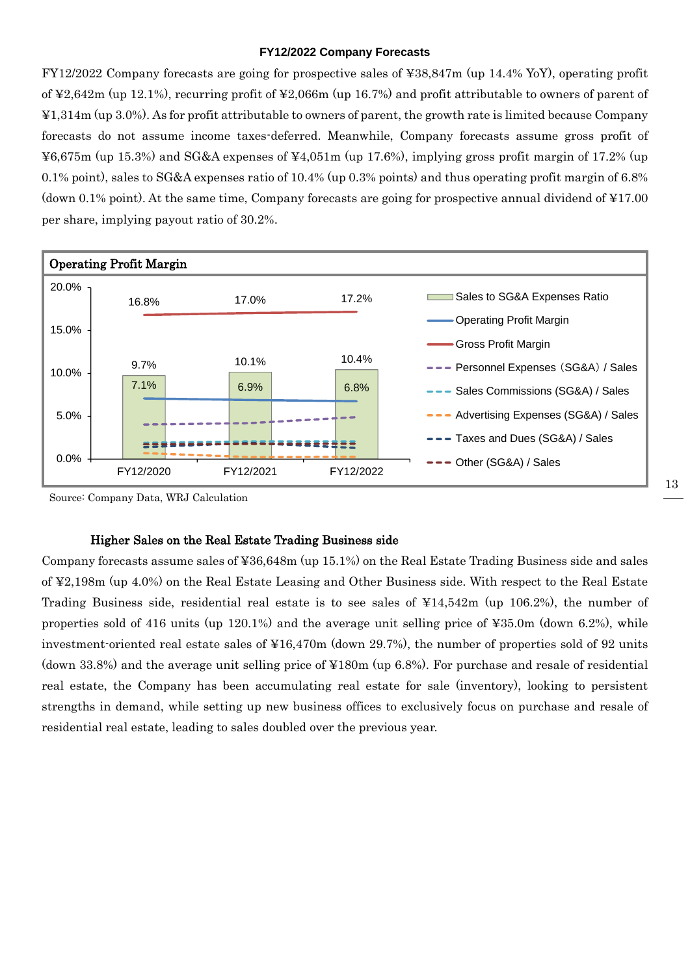#### **FY12/2022 Company Forecasts**

FY12/2022 Company forecasts are going for prospective sales of ¥38,847m (up 14.4% YoY), operating profit of ¥2,642m (up 12.1%), recurring profit of ¥2,066m (up 16.7%) and profit attributable to owners of parent of ¥1,314m (up 3.0%). As for profit attributable to owners of parent, the growth rate is limited because Company forecasts do not assume income taxes-deferred. Meanwhile, Company forecasts assume gross profit of ¥6,675m (up 15.3%) and SG&A expenses of ¥4,051m (up 17.6%), implying gross profit margin of 17.2% (up 0.1% point), sales to SG&A expenses ratio of 10.4% (up 0.3% points) and thus operating profit margin of 6.8% (down 0.1% point). At the same time, Company forecasts are going for prospective annual dividend of ¥17.00 per share, implying payout ratio of 30.2%.



Source: Company Data, WRJ Calculation

#### Higher Sales on the Real Estate Trading Business side

Company forecasts assume sales of ¥36,648m (up 15.1%) on the Real Estate Trading Business side and sales of ¥2,198m (up 4.0%) on the Real Estate Leasing and Other Business side. With respect to the Real Estate Trading Business side, residential real estate is to see sales of ¥14,542m (up 106.2%), the number of properties sold of 416 units (up 120.1%) and the average unit selling price of ¥35.0m (down 6.2%), while investment-oriented real estate sales of ¥16,470m (down 29.7%), the number of properties sold of 92 units (down 33.8%) and the average unit selling price of ¥180m (up 6.8%). For purchase and resale of residential real estate, the Company has been accumulating real estate for sale (inventory), looking to persistent strengths in demand, while setting up new business offices to exclusively focus on purchase and resale of residential real estate, leading to sales doubled over the previous year.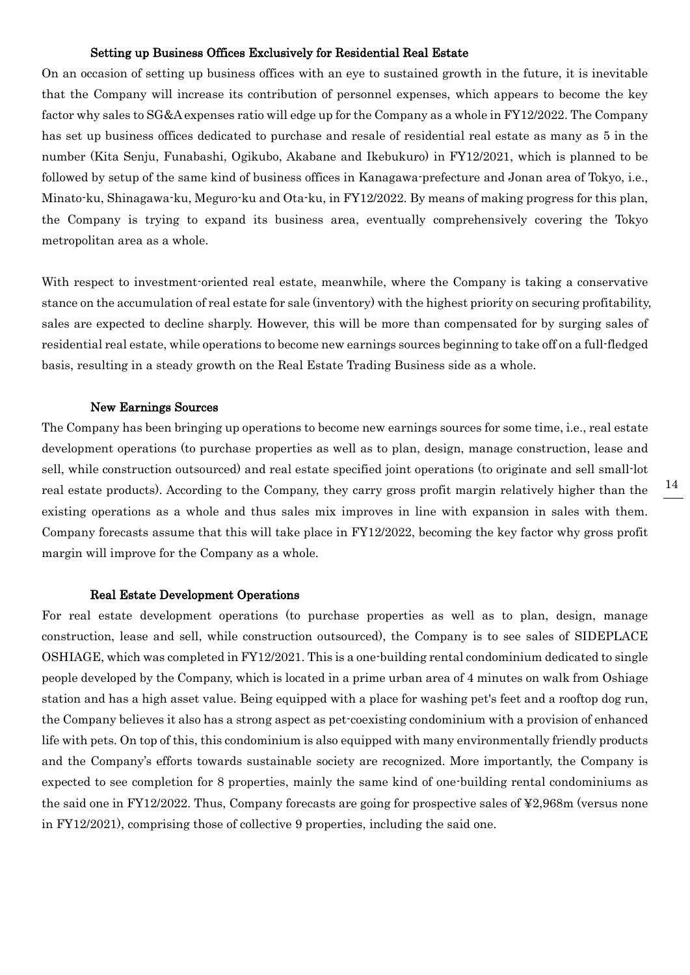#### Setting up Business Offices Exclusively for Residential Real Estate

On an occasion of setting up business offices with an eye to sustained growth in the future, it is inevitable that the Company will increase its contribution of personnel expenses, which appears to become the key factor why sales to SG&A expenses ratio will edge up for the Company as a whole in FY12/2022. The Company has set up business offices dedicated to purchase and resale of residential real estate as many as 5 in the number (Kita Senju, Funabashi, Ogikubo, Akabane and Ikebukuro) in FY12/2021, which is planned to be followed by setup of the same kind of business offices in Kanagawa-prefecture and Jonan area of Tokyo, i.e., Minato-ku, Shinagawa-ku, Meguro-ku and Ota-ku, in FY12/2022. By means of making progress for this plan, the Company is trying to expand its business area, eventually comprehensively covering the Tokyo metropolitan area as a whole.

With respect to investment-oriented real estate, meanwhile, where the Company is taking a conservative stance on the accumulation of real estate for sale (inventory) with the highest priority on securing profitability, sales are expected to decline sharply. However, this will be more than compensated for by surging sales of residential real estate, while operations to become new earnings sources beginning to take off on a full-fledged basis, resulting in a steady growth on the Real Estate Trading Business side as a whole.

#### New Earnings Sources

The Company has been bringing up operations to become new earnings sources for some time, i.e., real estate development operations (to purchase properties as well as to plan, design, manage construction, lease and sell, while construction outsourced) and real estate specified joint operations (to originate and sell small-lot real estate products). According to the Company, they carry gross profit margin relatively higher than the existing operations as a whole and thus sales mix improves in line with expansion in sales with them. Company forecasts assume that this will take place in FY12/2022, becoming the key factor why gross profit margin will improve for the Company as a whole.

#### Real Estate Development Operations

For real estate development operations (to purchase properties as well as to plan, design, manage construction, lease and sell, while construction outsourced), the Company is to see sales of SIDEPLACE OSHIAGE, which was completed in FY12/2021. This is a one-building rental condominium dedicated to single people developed by the Company, which is located in a prime urban area of 4 minutes on walk from Oshiage station and has a high asset value. Being equipped with a place for washing pet's feet and a rooftop dog run, the Company believes it also has a strong aspect as pet-coexisting condominium with a provision of enhanced life with pets. On top of this, this condominium is also equipped with many environmentally friendly products and the Company's efforts towards sustainable society are recognized. More importantly, the Company is expected to see completion for 8 properties, mainly the same kind of one-building rental condominiums as the said one in FY12/2022. Thus, Company forecasts are going for prospective sales of ¥2,968m (versus none in FY12/2021), comprising those of collective 9 properties, including the said one.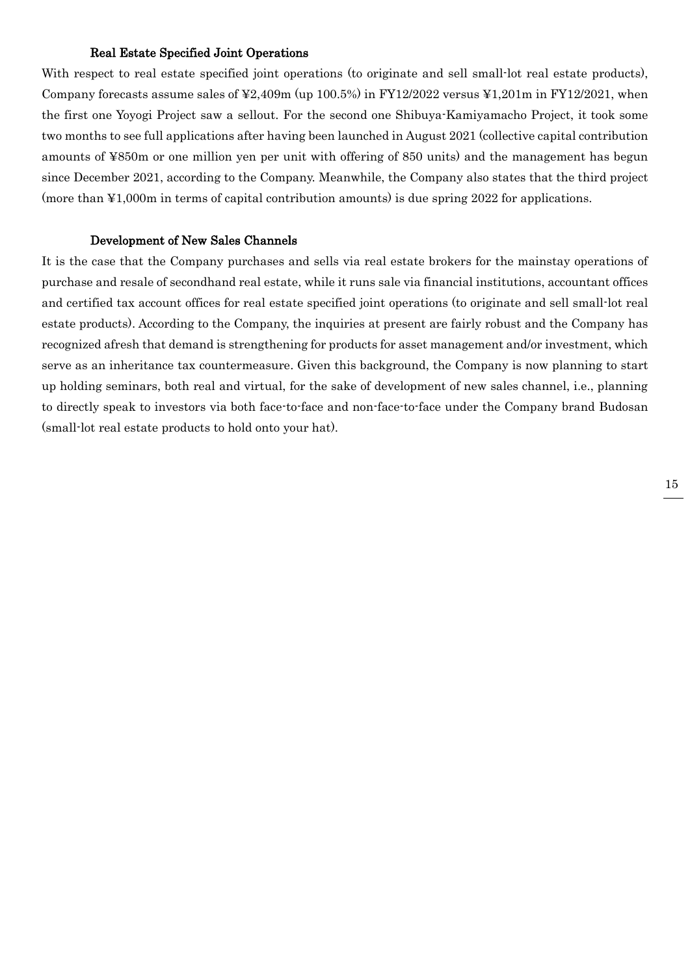#### Real Estate Specified Joint Operations

With respect to real estate specified joint operations (to originate and sell small-lot real estate products), Company forecasts assume sales of  $\text{\textsterling}2,409$ m (up 100.5%) in FY12/2022 versus  $\text{\textsterling}1,201$ m in FY12/2021, when the first one Yoyogi Project saw a sellout. For the second one Shibuya-Kamiyamacho Project, it took some two months to see full applications after having been launched in August 2021 (collective capital contribution amounts of ¥850m or one million yen per unit with offering of 850 units) and the management has begun since December 2021, according to the Company. Meanwhile, the Company also states that the third project (more than ¥1,000m in terms of capital contribution amounts) is due spring 2022 for applications.

#### Development of New Sales Channels

It is the case that the Company purchases and sells via real estate brokers for the mainstay operations of purchase and resale of secondhand real estate, while it runs sale via financial institutions, accountant offices and certified tax account offices for real estate specified joint operations (to originate and sell small-lot real estate products). According to the Company, the inquiries at present are fairly robust and the Company has recognized afresh that demand is strengthening for products for asset management and/or investment, which serve as an inheritance tax countermeasure. Given this background, the Company is now planning to start up holding seminars, both real and virtual, for the sake of development of new sales channel, i.e., planning to directly speak to investors via both face-to-face and non-face-to-face under the Company brand Budosan (small-lot real estate products to hold onto your hat).

15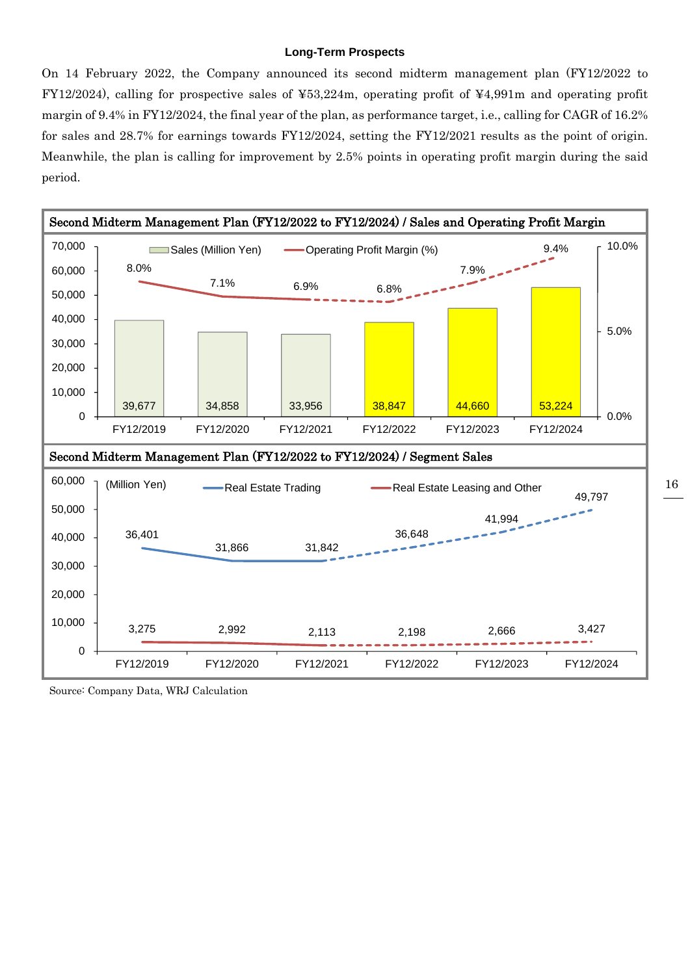#### **Long-Term Prospects**

On 14 February 2022, the Company announced its second midterm management plan (FY12/2022 to FY12/2024), calling for prospective sales of ¥53,224m, operating profit of ¥4,991m and operating profit margin of 9.4% in FY12/2024, the final year of the plan, as performance target, i.e., calling for CAGR of 16.2% for sales and 28.7% for earnings towards FY12/2024, setting the FY12/2021 results as the point of origin. Meanwhile, the plan is calling for improvement by 2.5% points in operating profit margin during the said period.



Source: Company Data, WRJ Calculation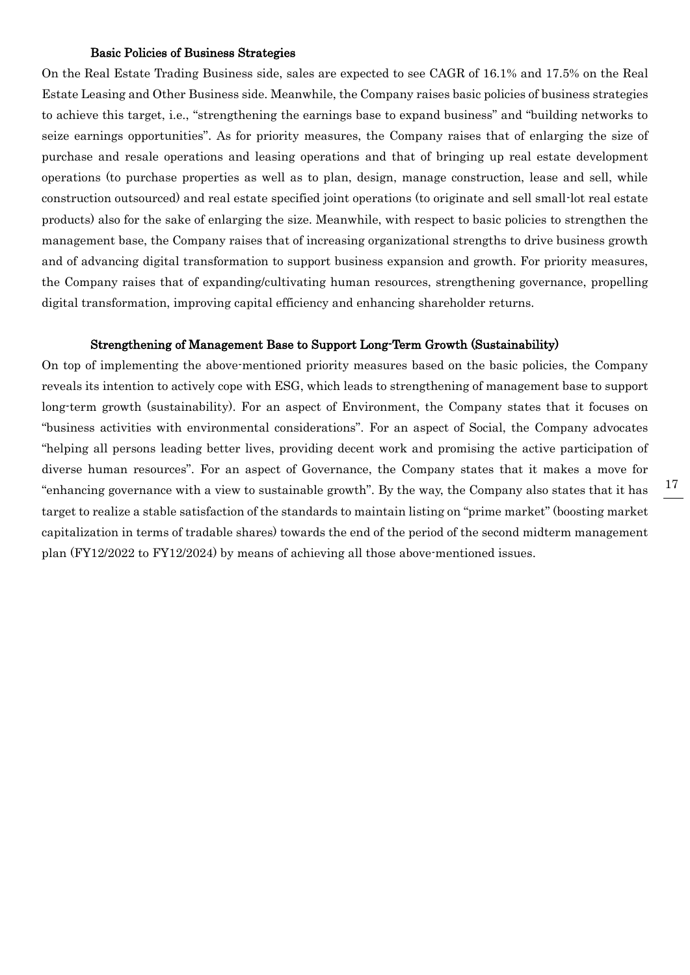#### Basic Policies of Business Strategies

On the Real Estate Trading Business side, sales are expected to see CAGR of 16.1% and 17.5% on the Real Estate Leasing and Other Business side. Meanwhile, the Company raises basic policies of business strategies to achieve this target, i.e., "strengthening the earnings base to expand business" and "building networks to seize earnings opportunities". As for priority measures, the Company raises that of enlarging the size of purchase and resale operations and leasing operations and that of bringing up real estate development operations (to purchase properties as well as to plan, design, manage construction, lease and sell, while construction outsourced) and real estate specified joint operations (to originate and sell small-lot real estate products) also for the sake of enlarging the size. Meanwhile, with respect to basic policies to strengthen the management base, the Company raises that of increasing organizational strengths to drive business growth and of advancing digital transformation to support business expansion and growth. For priority measures, the Company raises that of expanding/cultivating human resources, strengthening governance, propelling digital transformation, improving capital efficiency and enhancing shareholder returns.

#### Strengthening of Management Base to Support Long-Term Growth (Sustainability)

On top of implementing the above-mentioned priority measures based on the basic policies, the Company reveals its intention to actively cope with ESG, which leads to strengthening of management base to support long-term growth (sustainability). For an aspect of Environment, the Company states that it focuses on "business activities with environmental considerations". For an aspect of Social, the Company advocates "helping all persons leading better lives, providing decent work and promising the active participation of diverse human resources". For an aspect of Governance, the Company states that it makes a move for "enhancing governance with a view to sustainable growth". By the way, the Company also states that it has target to realize a stable satisfaction of the standards to maintain listing on "prime market" (boosting market capitalization in terms of tradable shares) towards the end of the period of the second midterm management plan (FY12/2022 to FY12/2024) by means of achieving all those above-mentioned issues.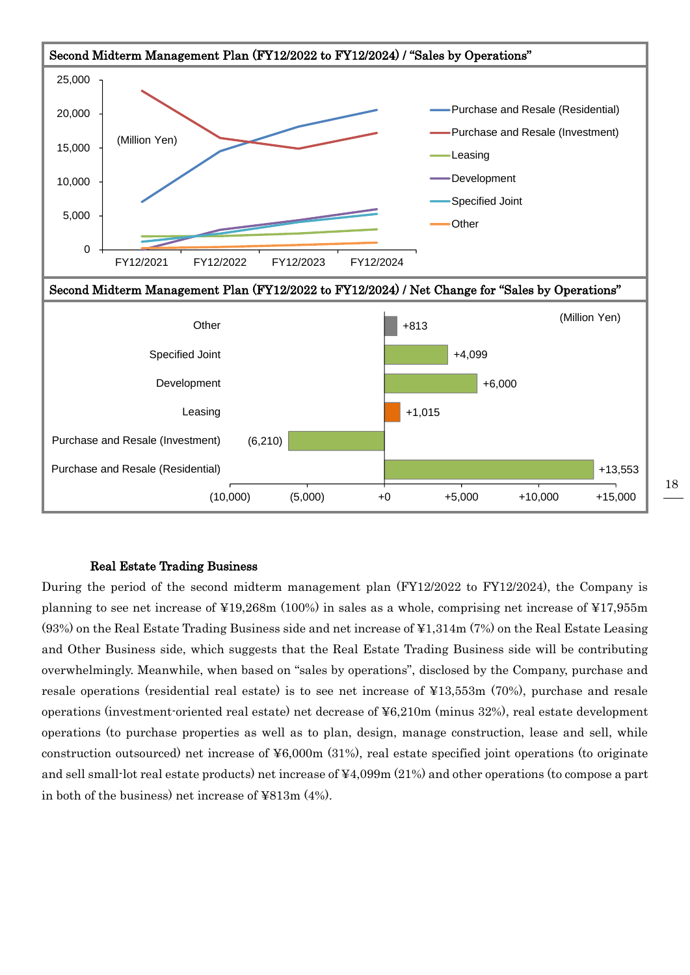

#### Real Estate Trading Business

During the period of the second midterm management plan (FY12/2022 to FY12/2024), the Company is planning to see net increase of ¥19,268m (100%) in sales as a whole, comprising net increase of ¥17,955m (93%) on the Real Estate Trading Business side and net increase of ¥1,314m (7%) on the Real Estate Leasing and Other Business side, which suggests that the Real Estate Trading Business side will be contributing overwhelmingly. Meanwhile, when based on "sales by operations", disclosed by the Company, purchase and resale operations (residential real estate) is to see net increase of ¥13,553m (70%), purchase and resale operations (investment-oriented real estate) net decrease of ¥6,210m (minus 32%), real estate development operations (to purchase properties as well as to plan, design, manage construction, lease and sell, while construction outsourced) net increase of ¥6,000m (31%), real estate specified joint operations (to originate and sell small-lot real estate products) net increase of ¥4,099m (21%) and other operations (to compose a part in both of the business) net increase of ¥813m (4%).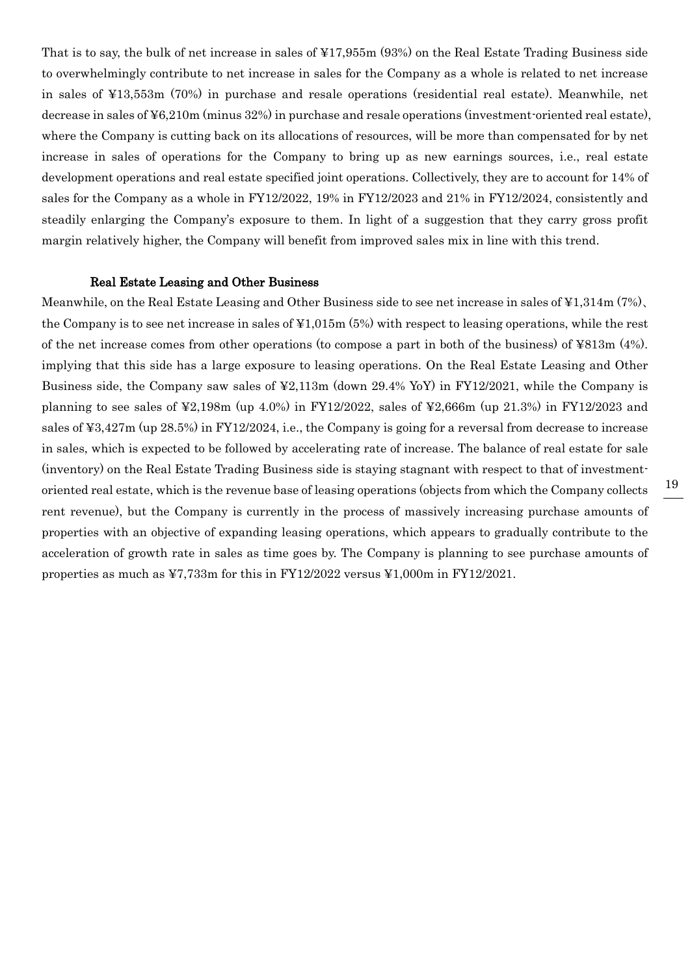That is to say, the bulk of net increase in sales of ¥17,955m (93%) on the Real Estate Trading Business side to overwhelmingly contribute to net increase in sales for the Company as a whole is related to net increase in sales of ¥13,553m (70%) in purchase and resale operations (residential real estate). Meanwhile, net decrease in sales of ¥6,210m (minus 32%) in purchase and resale operations (investment-oriented real estate), where the Company is cutting back on its allocations of resources, will be more than compensated for by net increase in sales of operations for the Company to bring up as new earnings sources, i.e., real estate development operations and real estate specified joint operations. Collectively, they are to account for 14% of sales for the Company as a whole in FY12/2022, 19% in FY12/2023 and 21% in FY12/2024, consistently and steadily enlarging the Company's exposure to them. In light of a suggestion that they carry gross profit margin relatively higher, the Company will benefit from improved sales mix in line with this trend.

#### Real Estate Leasing and Other Business

Meanwhile, on the Real Estate Leasing and Other Business side to see net increase in sales of ¥1,314m (7%)、 the Company is to see net increase in sales of ¥1,015m (5%) with respect to leasing operations, while the rest of the net increase comes from other operations (to compose a part in both of the business) of ¥813m (4%). implying that this side has a large exposure to leasing operations. On the Real Estate Leasing and Other Business side, the Company saw sales of ¥2,113m (down 29.4% YoY) in FY12/2021, while the Company is planning to see sales of ¥2,198m (up 4.0%) in FY12/2022, sales of ¥2,666m (up 21.3%) in FY12/2023 and sales of ¥3,427m (up 28.5%) in FY12/2024, i.e., the Company is going for a reversal from decrease to increase in sales, which is expected to be followed by accelerating rate of increase. The balance of real estate for sale (inventory) on the Real Estate Trading Business side is staying stagnant with respect to that of investmentoriented real estate, which is the revenue base of leasing operations (objects from which the Company collects rent revenue), but the Company is currently in the process of massively increasing purchase amounts of properties with an objective of expanding leasing operations, which appears to gradually contribute to the acceleration of growth rate in sales as time goes by. The Company is planning to see purchase amounts of properties as much as ¥7,733m for this in FY12/2022 versus ¥1,000m in FY12/2021.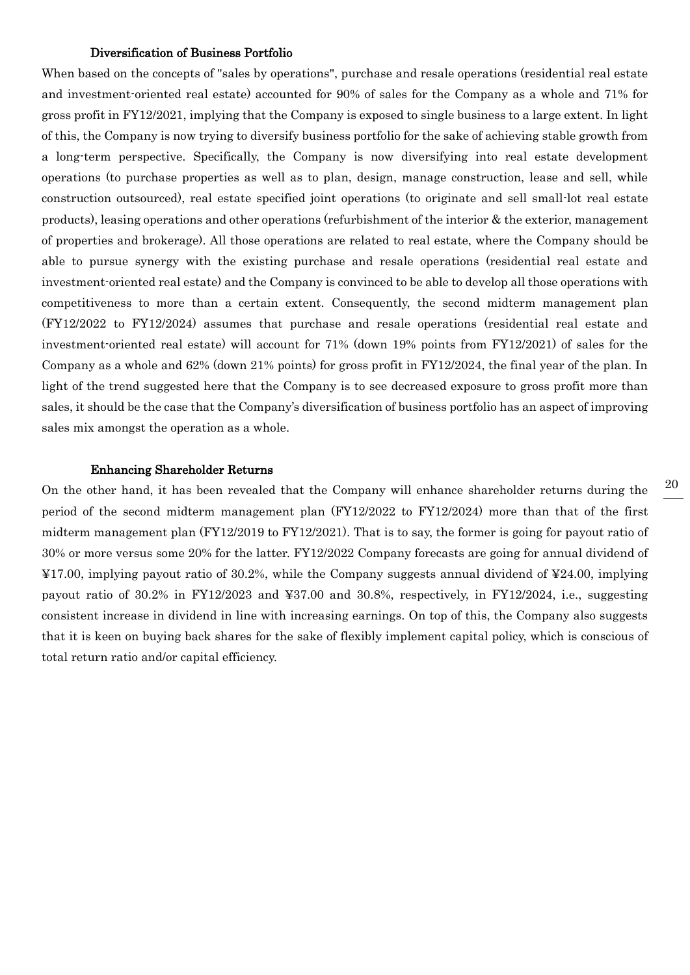#### Diversification of Business Portfolio

When based on the concepts of "sales by operations", purchase and resale operations (residential real estate and investment-oriented real estate) accounted for 90% of sales for the Company as a whole and 71% for gross profit in FY12/2021, implying that the Company is exposed to single business to a large extent. In light of this, the Company is now trying to diversify business portfolio for the sake of achieving stable growth from a long-term perspective. Specifically, the Company is now diversifying into real estate development operations (to purchase properties as well as to plan, design, manage construction, lease and sell, while construction outsourced), real estate specified joint operations (to originate and sell small-lot real estate products), leasing operations and other operations (refurbishment of the interior & the exterior, management of properties and brokerage). All those operations are related to real estate, where the Company should be able to pursue synergy with the existing purchase and resale operations (residential real estate and investment-oriented real estate) and the Company is convinced to be able to develop all those operations with competitiveness to more than a certain extent. Consequently, the second midterm management plan (FY12/2022 to FY12/2024) assumes that purchase and resale operations (residential real estate and investment-oriented real estate) will account for 71% (down 19% points from FY12/2021) of sales for the Company as a whole and 62% (down 21% points) for gross profit in FY12/2024, the final year of the plan. In light of the trend suggested here that the Company is to see decreased exposure to gross profit more than sales, it should be the case that the Company's diversification of business portfolio has an aspect of improving sales mix amongst the operation as a whole.

#### Enhancing Shareholder Returns

On the other hand, it has been revealed that the Company will enhance shareholder returns during the period of the second midterm management plan (FY12/2022 to FY12/2024) more than that of the first midterm management plan (FY12/2019 to FY12/2021). That is to say, the former is going for payout ratio of 30% or more versus some 20% for the latter. FY12/2022 Company forecasts are going for annual dividend of ¥17.00, implying payout ratio of 30.2%, while the Company suggests annual dividend of ¥24.00, implying payout ratio of 30.2% in FY12/2023 and ¥37.00 and 30.8%, respectively, in FY12/2024, i.e., suggesting consistent increase in dividend in line with increasing earnings. On top of this, the Company also suggests that it is keen on buying back shares for the sake of flexibly implement capital policy, which is conscious of total return ratio and/or capital efficiency.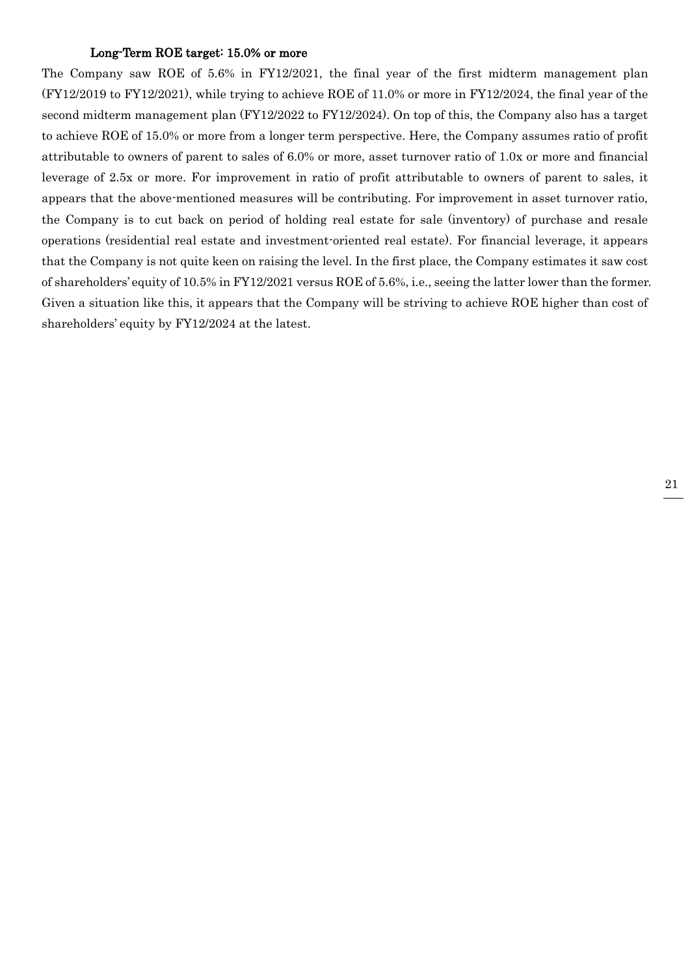#### Long-Term ROE target: 15.0% or more

The Company saw ROE of 5.6% in FY12/2021, the final year of the first midterm management plan (FY12/2019 to FY12/2021), while trying to achieve ROE of 11.0% or more in FY12/2024, the final year of the second midterm management plan (FY12/2022 to FY12/2024). On top of this, the Company also has a target to achieve ROE of 15.0% or more from a longer term perspective. Here, the Company assumes ratio of profit attributable to owners of parent to sales of 6.0% or more, asset turnover ratio of 1.0x or more and financial leverage of 2.5x or more. For improvement in ratio of profit attributable to owners of parent to sales, it appears that the above-mentioned measures will be contributing. For improvement in asset turnover ratio, the Company is to cut back on period of holding real estate for sale (inventory) of purchase and resale operations (residential real estate and investment-oriented real estate). For financial leverage, it appears that the Company is not quite keen on raising the level. In the first place, the Company estimates it saw cost of shareholders' equity of 10.5% in FY12/2021 versus ROE of 5.6%, i.e., seeing the latter lower than the former. Given a situation like this, it appears that the Company will be striving to achieve ROE higher than cost of shareholders' equity by FY12/2024 at the latest.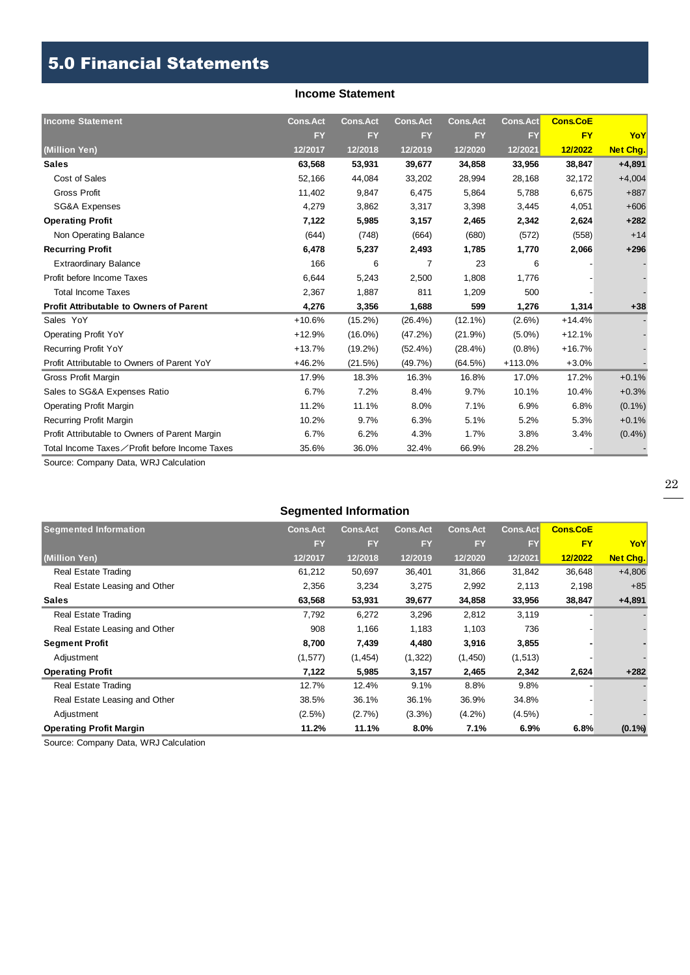## 5.0 Financial Statements

#### **Income Statement**

| <b>Income Statement</b>                        | <b>Cons.Act</b> | <b>Cons.Act</b> | <b>Cons.Act</b> | <b>Cons.Act</b> | <b>Cons.Act</b> | <b>Cons.CoE</b> |                 |
|------------------------------------------------|-----------------|-----------------|-----------------|-----------------|-----------------|-----------------|-----------------|
|                                                | <b>FY</b>       | <b>FY</b>       | <b>FY</b>       | <b>FY</b>       | <b>FY</b>       | <b>FY</b>       | YoY             |
| (Million Yen)                                  | 12/2017         | 12/2018         | 12/2019         | 12/2020         | 12/2021         | 12/2022         | <b>Net Chg.</b> |
| <b>Sales</b>                                   | 63,568          | 53,931          | 39,677          | 34,858          | 33,956          | 38,847          | $+4,891$        |
| Cost of Sales                                  | 52,166          | 44,084          | 33,202          | 28,994          | 28,168          | 32,172          | $+4,004$        |
| <b>Gross Profit</b>                            | 11,402          | 9,847           | 6,475           | 5,864           | 5,788           | 6,675           | $+887$          |
| <b>SG&amp;A Expenses</b>                       | 4,279           | 3,862           | 3,317           | 3,398           | 3,445           | 4,051           | $+606$          |
| <b>Operating Profit</b>                        | 7,122           | 5,985           | 3,157           | 2,465           | 2,342           | 2,624           | $+282$          |
| Non Operating Balance                          | (644)           | (748)           | (664)           | (680)           | (572)           | (558)           | $+14$           |
| <b>Recurring Profit</b>                        | 6,478           | 5,237           | 2,493           | 1,785           | 1,770           | 2,066           | $+296$          |
| <b>Extraordinary Balance</b>                   | 166             | 6               | $\overline{7}$  | 23              | 6               |                 |                 |
| Profit before Income Taxes                     | 6,644           | 5,243           | 2,500           | 1,808           | 1,776           |                 |                 |
| <b>Total Income Taxes</b>                      | 2,367           | 1,887           | 811             | 1,209           | 500             |                 |                 |
| <b>Profit Attributable to Owners of Parent</b> | 4,276           | 3,356           | 1,688           | 599             | 1,276           | 1,314           | $+38$           |
| Sales YoY                                      | $+10.6%$        | $(15.2\%)$      | $(26.4\%)$      | $(12.1\%)$      | $(2.6\%)$       | $+14.4%$        |                 |
| <b>Operating Profit YoY</b>                    | $+12.9%$        | $(16.0\%)$      | (47.2%)         | (21.9%)         | $(5.0\%)$       | $+12.1%$        |                 |
| <b>Recurring Profit YoY</b>                    | $+13.7%$        | $(19.2\%)$      | $(52.4\%)$      | $(28.4\%)$      | $(0.8\%)$       | $+16.7%$        |                 |
| Profit Attributable to Owners of Parent YoY    | $+46.2%$        | (21.5%)         | (49.7%)         | (64.5%)         | $+113.0%$       | $+3.0%$         |                 |
| Gross Profit Margin                            | 17.9%           | 18.3%           | 16.3%           | 16.8%           | 17.0%           | 17.2%           | $+0.1%$         |
| Sales to SG&A Expenses Ratio                   | 6.7%            | 7.2%            | 8.4%            | 9.7%            | 10.1%           | 10.4%           | $+0.3%$         |
| <b>Operating Profit Margin</b>                 | 11.2%           | 11.1%           | 8.0%            | 7.1%            | 6.9%            | 6.8%            | $(0.1\%)$       |
| Recurring Profit Margin                        | 10.2%           | 9.7%            | 6.3%            | 5.1%            | 5.2%            | 5.3%            | $+0.1%$         |
| Profit Attributable to Owners of Parent Margin | 6.7%            | 6.2%            | 4.3%            | 1.7%            | 3.8%            | 3.4%            | $(0.4\%)$       |
| Total Income Taxes∕Profit before Income Taxes  | 35.6%           | 36.0%           | 32.4%           | 66.9%           | 28.2%           |                 |                 |

Source: Company Data, WRJ Calculation

#### **Segmented Information**

| <b>Segmented Information</b>   | <b>Cons.Act</b> | <b>Cons.Act</b> | <b>Cons.Act</b> | <b>Cons.Act</b> | Cons.Act  | <b>Cons.CoE</b> |                 |
|--------------------------------|-----------------|-----------------|-----------------|-----------------|-----------|-----------------|-----------------|
|                                | <b>FY</b>       | <b>FY</b>       | <b>FY</b>       | <b>FY</b>       | FY        | <b>FY</b>       | YoY             |
| (Million Yen)                  | 12/2017         | 12/2018         | 12/2019         | 12/2020         | 12/2021   | 12/2022         | <b>Net Chg.</b> |
| <b>Real Estate Trading</b>     | 61,212          | 50,697          | 36,401          | 31,866          | 31,842    | 36,648          | $+4,806$        |
| Real Estate Leasing and Other  | 2,356           | 3,234           | 3,275           | 2,992           | 2,113     | 2,198           | $+85$           |
| <b>Sales</b>                   | 63,568          | 53,931          | 39,677          | 34,858          | 33,956    | 38,847          | $+4,891$        |
| <b>Real Estate Trading</b>     | 7,792           | 6,272           | 3,296           | 2,812           | 3,119     |                 |                 |
| Real Estate Leasing and Other  | 908             | 1,166           | 1,183           | 1,103           | 736       |                 |                 |
| <b>Segment Profit</b>          | 8,700           | 7,439           | 4,480           | 3,916           | 3,855     |                 |                 |
| Adjustment                     | (1, 577)        | (1, 454)        | (1, 322)        | (1,450)         | (1, 513)  |                 |                 |
| <b>Operating Profit</b>        | 7,122           | 5,985           | 3,157           | 2,465           | 2,342     | 2,624           | $+282$          |
| Real Estate Trading            | 12.7%           | 12.4%           | 9.1%            | 8.8%            | 9.8%      |                 |                 |
| Real Estate Leasing and Other  | 38.5%           | 36.1%           | 36.1%           | 36.9%           | 34.8%     |                 |                 |
| Adjustment                     | (2.5%)          | (2.7%)          | $(3.3\%)$       | $(4.2\%)$       | $(4.5\%)$ |                 |                 |
| <b>Operating Profit Margin</b> | 11.2%           | 11.1%           | 8.0%            | 7.1%            | 6.9%      | 6.8%            | $(0.1\%)$       |

Source: Company Data, WRJ Calculation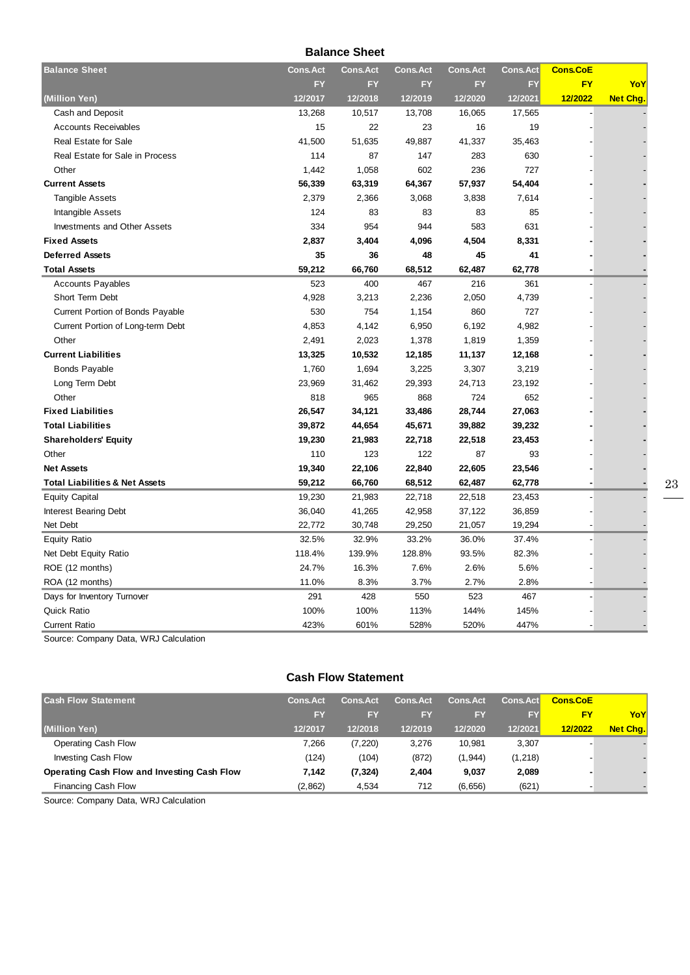**Balance Sheet**

| <b>Balance Sheet</b>                      | <b>Cons.Act</b> | <b>Cons.Act</b> | <b>Cons.Act</b> | <b>Cons.Act</b> | <b>Cons.Act</b> | <b>Cons.CoE</b> |          |
|-------------------------------------------|-----------------|-----------------|-----------------|-----------------|-----------------|-----------------|----------|
|                                           | <b>FY</b>       | <b>FY</b>       | FY              | FY              | FY              | <b>FY</b>       | YoY      |
| (Million Yen)                             | 12/2017         | 12/2018         | 12/2019         | 12/2020         | 12/2021         | 12/2022         | Net Chg. |
| Cash and Deposit                          | 13,268          | 10,517          | 13,708          | 16,065          | 17,565          |                 |          |
| <b>Accounts Receivables</b>               | 15              | 22              | 23              | 16              | 19              |                 |          |
| <b>Real Estate for Sale</b>               | 41,500          | 51,635          | 49,887          | 41,337          | 35,463          |                 |          |
| Real Estate for Sale in Process           | 114             | 87              | 147             | 283             | 630             |                 |          |
| Other                                     | 1,442           | 1,058           | 602             | 236             | 727             |                 |          |
| <b>Current Assets</b>                     | 56,339          | 63,319          | 64,367          | 57,937          | 54,404          |                 |          |
| <b>Tangible Assets</b>                    | 2,379           | 2,366           | 3,068           | 3,838           | 7,614           |                 |          |
| Intangible Assets                         | 124             | 83              | 83              | 83              | 85              |                 |          |
| Investments and Other Assets              | 334             | 954             | 944             | 583             | 631             |                 |          |
| <b>Fixed Assets</b>                       | 2,837           | 3,404           | 4,096           | 4,504           | 8,331           |                 |          |
| <b>Deferred Assets</b>                    | 35              | 36              | 48              | 45              | 41              |                 |          |
| <b>Total Assets</b>                       | 59,212          | 66,760          | 68,512          | 62,487          | 62,778          |                 |          |
| <b>Accounts Payables</b>                  | 523             | 400             | 467             | 216             | 361             |                 |          |
| Short Term Debt                           | 4,928           | 3,213           | 2,236           | 2,050           | 4,739           |                 |          |
| Current Portion of Bonds Payable          | 530             | 754             | 1,154           | 860             | 727             |                 |          |
| Current Portion of Long-term Debt         | 4,853           | 4,142           | 6,950           | 6,192           | 4,982           |                 |          |
| Other                                     | 2,491           | 2,023           | 1,378           | 1,819           | 1,359           |                 |          |
| <b>Current Liabilities</b>                | 13,325          | 10,532          | 12,185          | 11,137          | 12,168          |                 |          |
| <b>Bonds Payable</b>                      | 1,760           | 1,694           | 3,225           | 3,307           | 3,219           |                 |          |
| Long Term Debt                            | 23,969          | 31,462          | 29,393          | 24,713          | 23,192          |                 |          |
| Other                                     | 818             | 965             | 868             | 724             | 652             |                 |          |
| <b>Fixed Liabilities</b>                  | 26,547          | 34,121          | 33,486          | 28,744          | 27,063          |                 |          |
| <b>Total Liabilities</b>                  | 39,872          | 44,654          | 45,671          | 39,882          | 39,232          |                 |          |
| <b>Shareholders' Equity</b>               | 19,230          | 21,983          | 22,718          | 22,518          | 23,453          |                 |          |
| Other                                     | 110             | 123             | 122             | 87              | 93              |                 |          |
| <b>Net Assets</b>                         | 19,340          | 22,106          | 22,840          | 22,605          | 23,546          |                 |          |
| <b>Total Liabilities &amp; Net Assets</b> | 59,212          | 66,760          | 68,512          | 62,487          | 62,778          |                 |          |
| <b>Equity Capital</b>                     | 19,230          | 21,983          | 22,718          | 22,518          | 23,453          |                 |          |
| Interest Bearing Debt                     | 36,040          | 41,265          | 42,958          | 37,122          | 36,859          |                 |          |
| Net Debt                                  | 22,772          | 30,748          | 29,250          | 21,057          | 19,294          |                 |          |
| <b>Equity Ratio</b>                       | 32.5%           | 32.9%           | 33.2%           | 36.0%           | 37.4%           |                 |          |
| Net Debt Equity Ratio                     | 118.4%          | 139.9%          | 128.8%          | 93.5%           | 82.3%           |                 |          |
| ROE (12 months)                           | 24.7%           | 16.3%           | 7.6%            | 2.6%            | 5.6%            |                 |          |
| ROA (12 months)                           | 11.0%           | 8.3%            | 3.7%            | 2.7%            | 2.8%            |                 |          |
| Days for Inventory Turnover               | 291             | 428             | 550             | 523             | 467             |                 |          |
| <b>Quick Ratio</b>                        | 100%            | 100%            | 113%            | 144%            | 145%            |                 |          |
| <b>Current Ratio</b>                      | 423%            | 601%            | 528%            | 520%            | 447%            |                 |          |

Source: Company Data, WRJ Calculation

#### **Cash Flow Statement**

| <b>Cash Flow Statement</b>                  | <b>Cons.Act</b> | <b>Cons.Act</b> | <b>Cons.Act</b> | <b>Cons.Act</b> | <b>Cons.Act</b> | <b>Cons.CoE</b> |          |
|---------------------------------------------|-----------------|-----------------|-----------------|-----------------|-----------------|-----------------|----------|
|                                             | <b>FY</b>       | FY              | EY              | <b>FY</b>       | <b>FY</b>       | F۲              | YoY      |
| (Million Yen)                               | 12/2017         | 12/2018         | 12/2019         | 12/2020         | 12/2021         | 12/2022         | Net Cha. |
| Operating Cash Flow                         | 7.266           | (7, 220)        | 3.276           | 10.981          | 3,307           |                 |          |
| <b>Investing Cash Flow</b>                  | (124)           | (104)           | (872)           | (1, 944)        | (1, 218)        |                 |          |
| Operating Cash Flow and Investing Cash Flow | 7.142           | (7, 324)        | 2.404           | 9,037           | 2,089           |                 |          |
| <b>Financing Cash Flow</b>                  | (2,862)         | 4.534           | 712             | (6,656)         | (621)           |                 |          |

Source: Company Data, WRJ Calculation